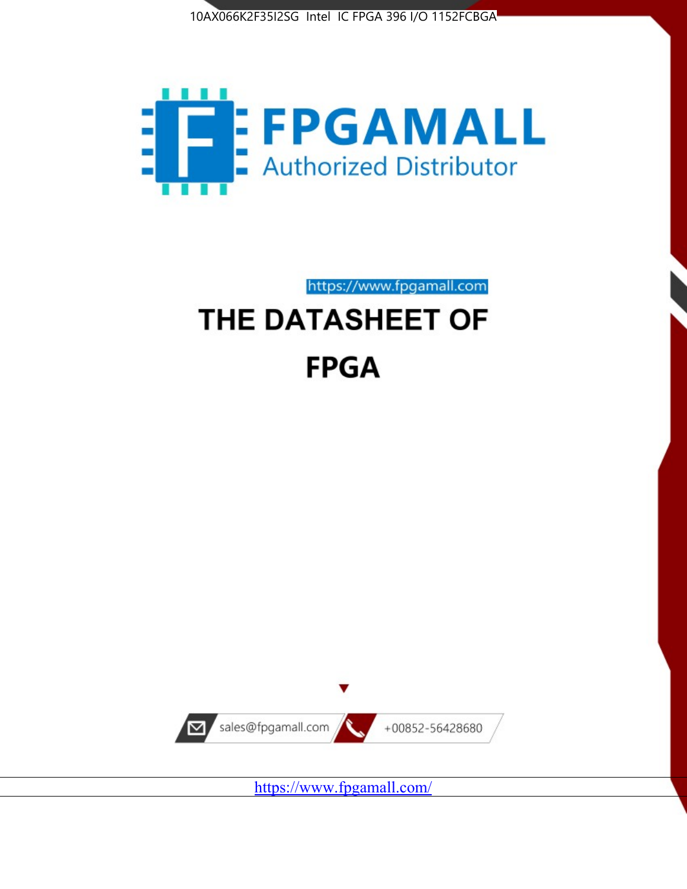



https://www.fpgamall.com

# THE DATASHEET OF **FPGA**



<https://www.fpgamall.com/>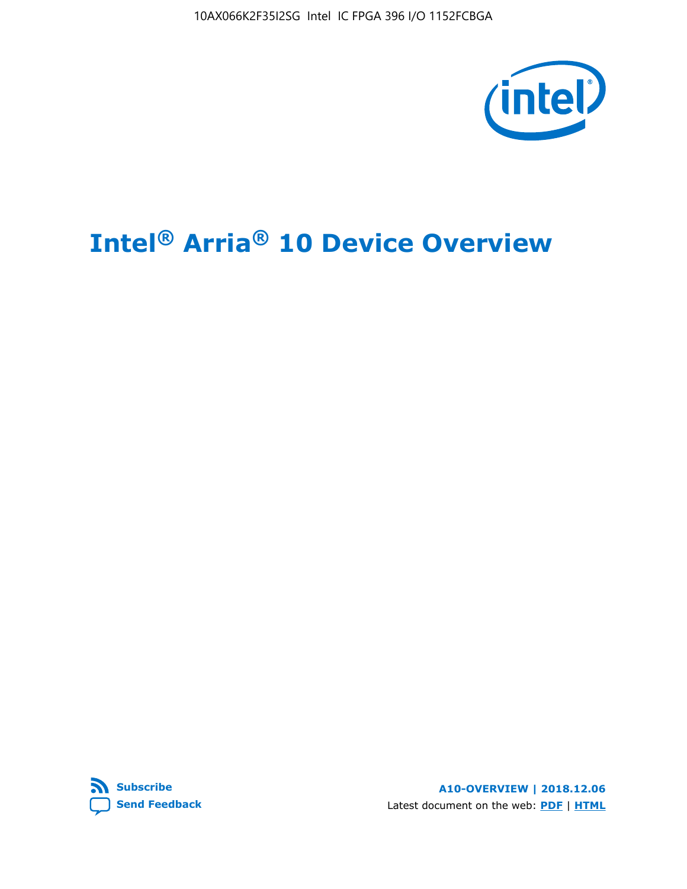10AX066K2F35I2SG Intel IC FPGA 396 I/O 1152FCBGA



# **Intel® Arria® 10 Device Overview**



**A10-OVERVIEW | 2018.12.06** Latest document on the web: **[PDF](https://www.intel.com/content/dam/www/programmable/us/en/pdfs/literature/hb/arria-10/a10_overview.pdf)** | **[HTML](https://www.intel.com/content/www/us/en/programmable/documentation/sam1403480274650.html)**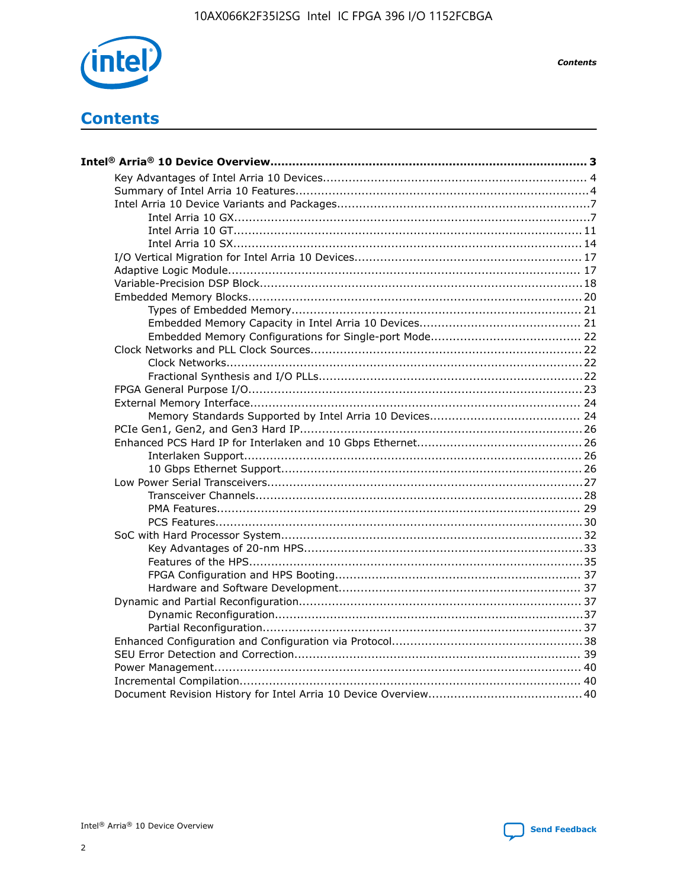

**Contents** 

# **Contents**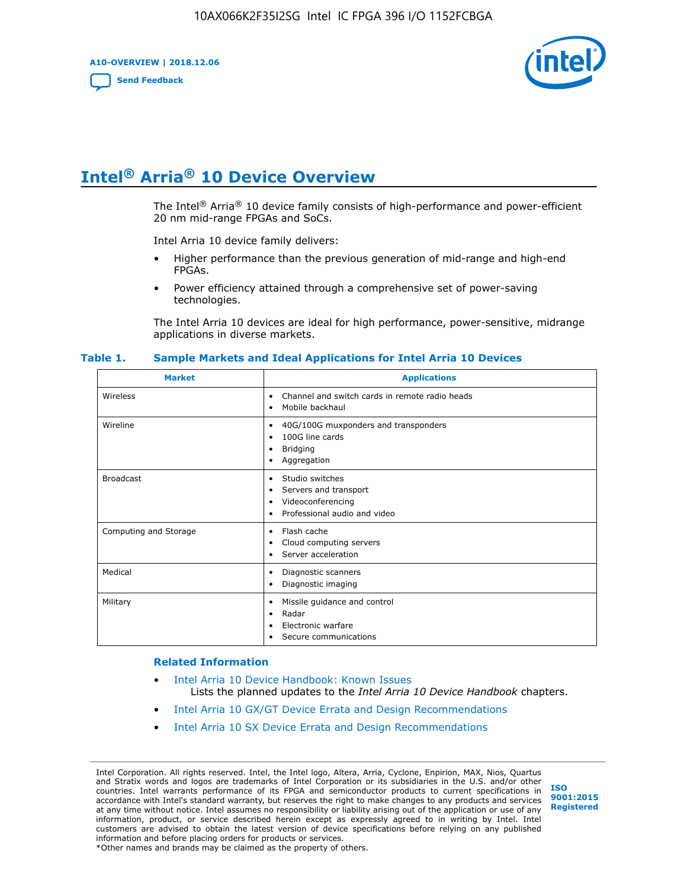**A10-OVERVIEW | 2018.12.06**

**[Send Feedback](mailto:FPGAtechdocfeedback@intel.com?subject=Feedback%20on%20Intel%20Arria%2010%20Device%20Overview%20(A10-OVERVIEW%202018.12.06)&body=We%20appreciate%20your%20feedback.%20In%20your%20comments,%20also%20specify%20the%20page%20number%20or%20paragraph.%20Thank%20you.)**



# **Intel® Arria® 10 Device Overview**

The Intel<sup>®</sup> Arria<sup>®</sup> 10 device family consists of high-performance and power-efficient 20 nm mid-range FPGAs and SoCs.

Intel Arria 10 device family delivers:

- Higher performance than the previous generation of mid-range and high-end FPGAs.
- Power efficiency attained through a comprehensive set of power-saving technologies.

The Intel Arria 10 devices are ideal for high performance, power-sensitive, midrange applications in diverse markets.

| <b>Market</b>         | <b>Applications</b>                                                                                               |
|-----------------------|-------------------------------------------------------------------------------------------------------------------|
| Wireless              | Channel and switch cards in remote radio heads<br>٠<br>Mobile backhaul<br>٠                                       |
| Wireline              | 40G/100G muxponders and transponders<br>٠<br>100G line cards<br>٠<br><b>Bridging</b><br>٠<br>Aggregation<br>٠     |
| <b>Broadcast</b>      | Studio switches<br>٠<br>Servers and transport<br>٠<br>Videoconferencing<br>٠<br>Professional audio and video<br>٠ |
| Computing and Storage | Flash cache<br>٠<br>Cloud computing servers<br>٠<br>Server acceleration<br>٠                                      |
| Medical               | Diagnostic scanners<br>٠<br>Diagnostic imaging<br>٠                                                               |
| Military              | Missile guidance and control<br>٠<br>Radar<br>٠<br>Electronic warfare<br>٠<br>Secure communications<br>٠          |

#### **Table 1. Sample Markets and Ideal Applications for Intel Arria 10 Devices**

#### **Related Information**

- [Intel Arria 10 Device Handbook: Known Issues](http://www.altera.com/support/kdb/solutions/rd07302013_646.html) Lists the planned updates to the *Intel Arria 10 Device Handbook* chapters.
- [Intel Arria 10 GX/GT Device Errata and Design Recommendations](https://www.intel.com/content/www/us/en/programmable/documentation/agz1493851706374.html#yqz1494433888646)
- [Intel Arria 10 SX Device Errata and Design Recommendations](https://www.intel.com/content/www/us/en/programmable/documentation/cru1462832385668.html#cru1462832558642)

Intel Corporation. All rights reserved. Intel, the Intel logo, Altera, Arria, Cyclone, Enpirion, MAX, Nios, Quartus and Stratix words and logos are trademarks of Intel Corporation or its subsidiaries in the U.S. and/or other countries. Intel warrants performance of its FPGA and semiconductor products to current specifications in accordance with Intel's standard warranty, but reserves the right to make changes to any products and services at any time without notice. Intel assumes no responsibility or liability arising out of the application or use of any information, product, or service described herein except as expressly agreed to in writing by Intel. Intel customers are advised to obtain the latest version of device specifications before relying on any published information and before placing orders for products or services. \*Other names and brands may be claimed as the property of others.

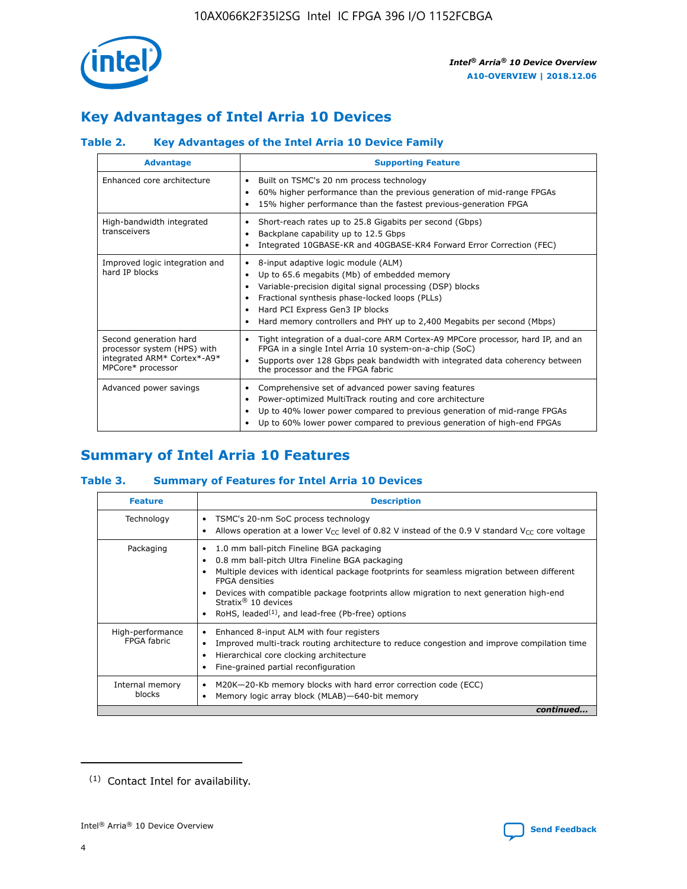

# **Key Advantages of Intel Arria 10 Devices**

## **Table 2. Key Advantages of the Intel Arria 10 Device Family**

| <b>Advantage</b>                                                                                          | <b>Supporting Feature</b>                                                                                                                                                                                                                                                                                                |  |  |  |  |  |  |
|-----------------------------------------------------------------------------------------------------------|--------------------------------------------------------------------------------------------------------------------------------------------------------------------------------------------------------------------------------------------------------------------------------------------------------------------------|--|--|--|--|--|--|
| Enhanced core architecture                                                                                | Built on TSMC's 20 nm process technology<br>٠<br>60% higher performance than the previous generation of mid-range FPGAs<br>٠<br>15% higher performance than the fastest previous-generation FPGA<br>٠                                                                                                                    |  |  |  |  |  |  |
| High-bandwidth integrated<br>transceivers                                                                 | Short-reach rates up to 25.8 Gigabits per second (Gbps)<br>٠<br>Backplane capability up to 12.5 Gbps<br>٠<br>Integrated 10GBASE-KR and 40GBASE-KR4 Forward Error Correction (FEC)<br>٠                                                                                                                                   |  |  |  |  |  |  |
| Improved logic integration and<br>hard IP blocks                                                          | 8-input adaptive logic module (ALM)<br>٠<br>Up to 65.6 megabits (Mb) of embedded memory<br>٠<br>Variable-precision digital signal processing (DSP) blocks<br>Fractional synthesis phase-locked loops (PLLs)<br>Hard PCI Express Gen3 IP blocks<br>Hard memory controllers and PHY up to 2,400 Megabits per second (Mbps) |  |  |  |  |  |  |
| Second generation hard<br>processor system (HPS) with<br>integrated ARM* Cortex*-A9*<br>MPCore* processor | Tight integration of a dual-core ARM Cortex-A9 MPCore processor, hard IP, and an<br>٠<br>FPGA in a single Intel Arria 10 system-on-a-chip (SoC)<br>Supports over 128 Gbps peak bandwidth with integrated data coherency between<br>$\bullet$<br>the processor and the FPGA fabric                                        |  |  |  |  |  |  |
| Advanced power savings                                                                                    | Comprehensive set of advanced power saving features<br>٠<br>Power-optimized MultiTrack routing and core architecture<br>٠<br>Up to 40% lower power compared to previous generation of mid-range FPGAs<br>٠<br>Up to 60% lower power compared to previous generation of high-end FPGAs                                    |  |  |  |  |  |  |

## **Summary of Intel Arria 10 Features**

## **Table 3. Summary of Features for Intel Arria 10 Devices**

| <b>Feature</b>                  | <b>Description</b>                                                                                                                                                                                                                                                                                                                                                                                       |
|---------------------------------|----------------------------------------------------------------------------------------------------------------------------------------------------------------------------------------------------------------------------------------------------------------------------------------------------------------------------------------------------------------------------------------------------------|
| Technology                      | TSMC's 20-nm SoC process technology<br>٠<br>Allows operation at a lower $V_{\text{CC}}$ level of 0.82 V instead of the 0.9 V standard $V_{\text{CC}}$ core voltage                                                                                                                                                                                                                                       |
| Packaging                       | 1.0 mm ball-pitch Fineline BGA packaging<br>0.8 mm ball-pitch Ultra Fineline BGA packaging<br>Multiple devices with identical package footprints for seamless migration between different<br><b>FPGA</b> densities<br>Devices with compatible package footprints allow migration to next generation high-end<br>Stratix $\mathcal{R}$ 10 devices<br>RoHS, leaded $(1)$ , and lead-free (Pb-free) options |
| High-performance<br>FPGA fabric | Enhanced 8-input ALM with four registers<br>٠<br>Improved multi-track routing architecture to reduce congestion and improve compilation time<br>Hierarchical core clocking architecture<br>Fine-grained partial reconfiguration                                                                                                                                                                          |
| Internal memory<br>blocks       | M20K-20-Kb memory blocks with hard error correction code (ECC)<br>Memory logic array block (MLAB)-640-bit memory                                                                                                                                                                                                                                                                                         |
|                                 | continued                                                                                                                                                                                                                                                                                                                                                                                                |



<sup>(1)</sup> Contact Intel for availability.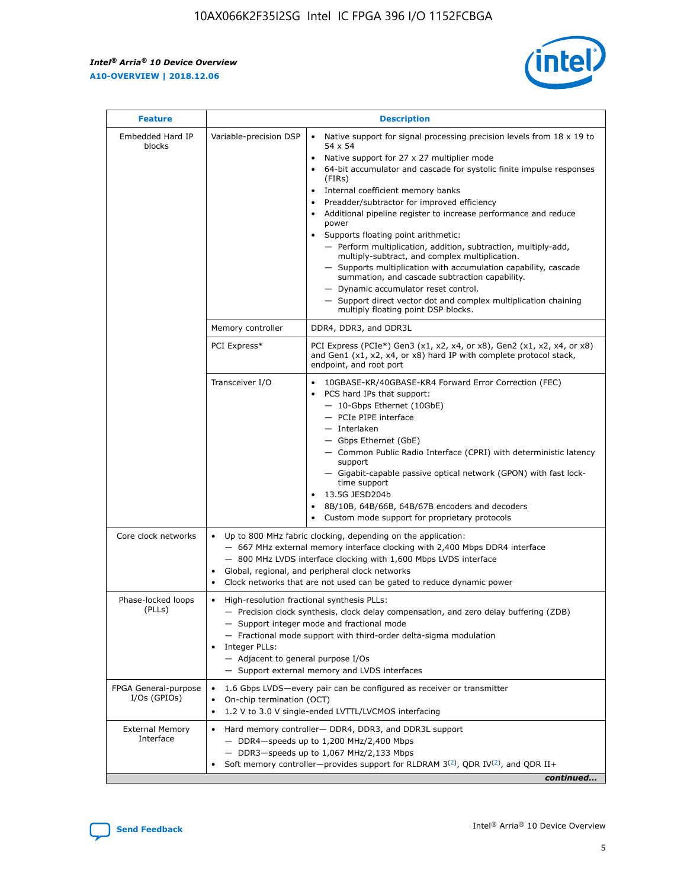r



| <b>Feature</b>                         |                                                                                                                | <b>Description</b>                                                                                                                                                                                                                                                                                                                                                                                                                                                                                                                                                                                                                                                                                                                                                                                                                     |
|----------------------------------------|----------------------------------------------------------------------------------------------------------------|----------------------------------------------------------------------------------------------------------------------------------------------------------------------------------------------------------------------------------------------------------------------------------------------------------------------------------------------------------------------------------------------------------------------------------------------------------------------------------------------------------------------------------------------------------------------------------------------------------------------------------------------------------------------------------------------------------------------------------------------------------------------------------------------------------------------------------------|
| Embedded Hard IP<br>blocks             | Variable-precision DSP                                                                                         | Native support for signal processing precision levels from $18 \times 19$ to<br>54 x 54<br>Native support for 27 x 27 multiplier mode<br>64-bit accumulator and cascade for systolic finite impulse responses<br>(FIRs)<br>Internal coefficient memory banks<br>$\bullet$<br>Preadder/subtractor for improved efficiency<br>Additional pipeline register to increase performance and reduce<br>power<br>Supports floating point arithmetic:<br>- Perform multiplication, addition, subtraction, multiply-add,<br>multiply-subtract, and complex multiplication.<br>- Supports multiplication with accumulation capability, cascade<br>summation, and cascade subtraction capability.<br>- Dynamic accumulator reset control.<br>- Support direct vector dot and complex multiplication chaining<br>multiply floating point DSP blocks. |
|                                        | Memory controller                                                                                              | DDR4, DDR3, and DDR3L                                                                                                                                                                                                                                                                                                                                                                                                                                                                                                                                                                                                                                                                                                                                                                                                                  |
|                                        | PCI Express*                                                                                                   | PCI Express (PCIe*) Gen3 (x1, x2, x4, or x8), Gen2 (x1, x2, x4, or x8)<br>and Gen1 (x1, x2, x4, or x8) hard IP with complete protocol stack,<br>endpoint, and root port                                                                                                                                                                                                                                                                                                                                                                                                                                                                                                                                                                                                                                                                |
|                                        | Transceiver I/O                                                                                                | 10GBASE-KR/40GBASE-KR4 Forward Error Correction (FEC)<br>PCS hard IPs that support:<br>$\bullet$<br>- 10-Gbps Ethernet (10GbE)<br>- PCIe PIPE interface<br>$-$ Interlaken<br>- Gbps Ethernet (GbE)<br>- Common Public Radio Interface (CPRI) with deterministic latency<br>support<br>- Gigabit-capable passive optical network (GPON) with fast lock-<br>time support<br>13.5G JESD204b<br>$\bullet$<br>8B/10B, 64B/66B, 64B/67B encoders and decoders<br>Custom mode support for proprietary protocols                                                                                                                                                                                                                                                                                                                               |
| Core clock networks                    | $\bullet$<br>$\bullet$                                                                                         | Up to 800 MHz fabric clocking, depending on the application:<br>- 667 MHz external memory interface clocking with 2,400 Mbps DDR4 interface<br>- 800 MHz LVDS interface clocking with 1,600 Mbps LVDS interface<br>Global, regional, and peripheral clock networks<br>Clock networks that are not used can be gated to reduce dynamic power                                                                                                                                                                                                                                                                                                                                                                                                                                                                                            |
| Phase-locked loops<br>(PLLs)           | High-resolution fractional synthesis PLLs:<br>$\bullet$<br>Integer PLLs:<br>- Adjacent to general purpose I/Os | - Precision clock synthesis, clock delay compensation, and zero delay buffering (ZDB)<br>- Support integer mode and fractional mode<br>- Fractional mode support with third-order delta-sigma modulation<br>- Support external memory and LVDS interfaces                                                                                                                                                                                                                                                                                                                                                                                                                                                                                                                                                                              |
| FPGA General-purpose<br>$I/Os$ (GPIOs) | On-chip termination (OCT)                                                                                      | 1.6 Gbps LVDS-every pair can be configured as receiver or transmitter<br>1.2 V to 3.0 V single-ended LVTTL/LVCMOS interfacing                                                                                                                                                                                                                                                                                                                                                                                                                                                                                                                                                                                                                                                                                                          |
| <b>External Memory</b><br>Interface    |                                                                                                                | Hard memory controller- DDR4, DDR3, and DDR3L support<br>$-$ DDR4 $-$ speeds up to 1,200 MHz/2,400 Mbps<br>- DDR3-speeds up to 1,067 MHz/2,133 Mbps<br>Soft memory controller—provides support for RLDRAM $3^{(2)}$ , QDR IV $^{(2)}$ , and QDR II+<br>continued                                                                                                                                                                                                                                                                                                                                                                                                                                                                                                                                                                       |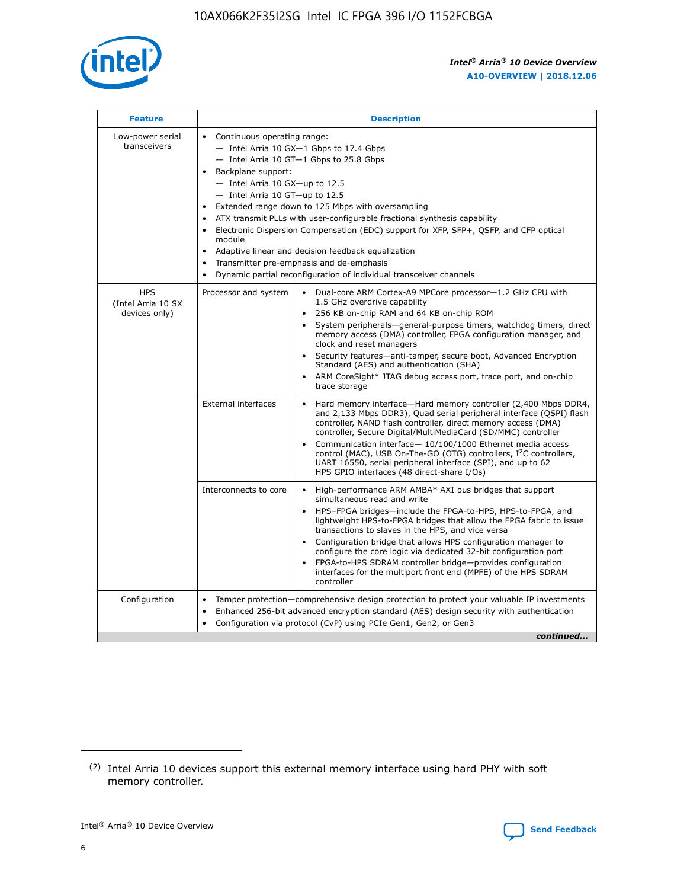

| <b>Feature</b>                                    | <b>Description</b>                                                                                                                                                                                                                                                                                                                                                                                                                                                                                                                                                                                                                                  |
|---------------------------------------------------|-----------------------------------------------------------------------------------------------------------------------------------------------------------------------------------------------------------------------------------------------------------------------------------------------------------------------------------------------------------------------------------------------------------------------------------------------------------------------------------------------------------------------------------------------------------------------------------------------------------------------------------------------------|
| Low-power serial<br>transceivers                  | • Continuous operating range:<br>- Intel Arria 10 GX-1 Gbps to 17.4 Gbps<br>- Intel Arria 10 GT-1 Gbps to 25.8 Gbps<br>Backplane support:<br>- Intel Arria 10 GX-up to 12.5<br>- Intel Arria 10 GT-up to 12.5<br>Extended range down to 125 Mbps with oversampling<br>ATX transmit PLLs with user-configurable fractional synthesis capability<br>Electronic Dispersion Compensation (EDC) support for XFP, SFP+, QSFP, and CFP optical<br>module<br>Adaptive linear and decision feedback equalization<br>$\bullet$<br>Transmitter pre-emphasis and de-emphasis<br>$\bullet$<br>Dynamic partial reconfiguration of individual transceiver channels |
| <b>HPS</b><br>(Intel Arria 10 SX<br>devices only) | Dual-core ARM Cortex-A9 MPCore processor-1.2 GHz CPU with<br>Processor and system<br>$\bullet$<br>1.5 GHz overdrive capability<br>256 KB on-chip RAM and 64 KB on-chip ROM<br>System peripherals—general-purpose timers, watchdog timers, direct<br>memory access (DMA) controller, FPGA configuration manager, and<br>clock and reset managers<br>Security features-anti-tamper, secure boot, Advanced Encryption<br>Standard (AES) and authentication (SHA)<br>ARM CoreSight* JTAG debug access port, trace port, and on-chip<br>trace storage                                                                                                    |
|                                                   | <b>External interfaces</b><br>Hard memory interface-Hard memory controller (2,400 Mbps DDR4,<br>$\bullet$<br>and 2,133 Mbps DDR3), Quad serial peripheral interface (QSPI) flash<br>controller, NAND flash controller, direct memory access (DMA)<br>controller, Secure Digital/MultiMediaCard (SD/MMC) controller<br>Communication interface-10/100/1000 Ethernet media access<br>control (MAC), USB On-The-GO (OTG) controllers, I <sup>2</sup> C controllers,<br>UART 16550, serial peripheral interface (SPI), and up to 62<br>HPS GPIO interfaces (48 direct-share I/Os)                                                                       |
|                                                   | High-performance ARM AMBA* AXI bus bridges that support<br>Interconnects to core<br>$\bullet$<br>simultaneous read and write<br>HPS-FPGA bridges-include the FPGA-to-HPS, HPS-to-FPGA, and<br>$\bullet$<br>lightweight HPS-to-FPGA bridges that allow the FPGA fabric to issue<br>transactions to slaves in the HPS, and vice versa<br>Configuration bridge that allows HPS configuration manager to<br>configure the core logic via dedicated 32-bit configuration port<br>FPGA-to-HPS SDRAM controller bridge-provides configuration<br>interfaces for the multiport front end (MPFE) of the HPS SDRAM<br>controller                              |
| Configuration                                     | Tamper protection—comprehensive design protection to protect your valuable IP investments<br>Enhanced 256-bit advanced encryption standard (AES) design security with authentication<br>٠<br>Configuration via protocol (CvP) using PCIe Gen1, Gen2, or Gen3<br>continued                                                                                                                                                                                                                                                                                                                                                                           |

<sup>(2)</sup> Intel Arria 10 devices support this external memory interface using hard PHY with soft memory controller.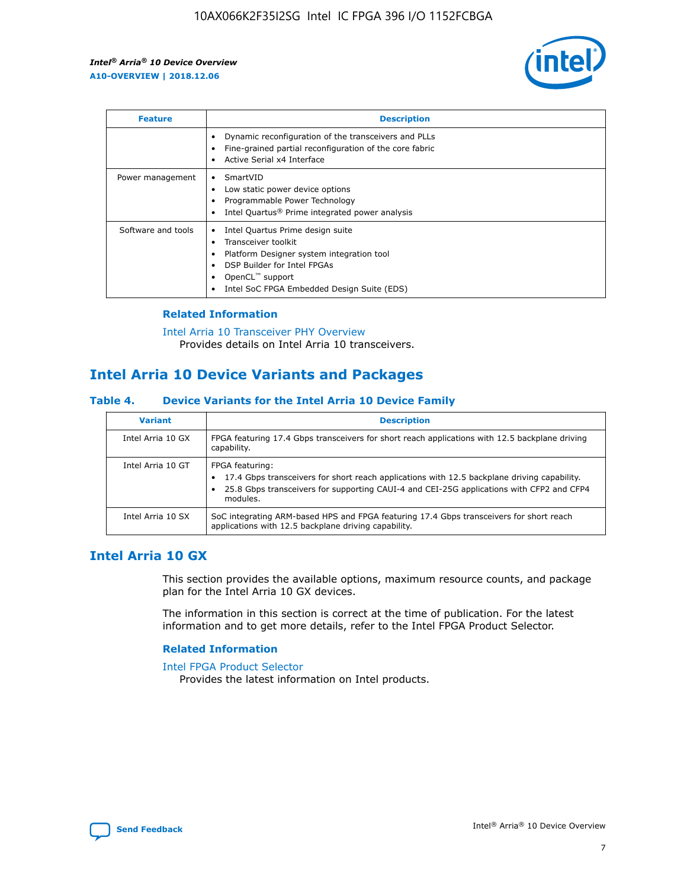

| <b>Feature</b>     | <b>Description</b>                                                                                                                                                                                               |
|--------------------|------------------------------------------------------------------------------------------------------------------------------------------------------------------------------------------------------------------|
|                    | Dynamic reconfiguration of the transceivers and PLLs<br>Fine-grained partial reconfiguration of the core fabric<br>Active Serial x4 Interface<br>$\bullet$                                                       |
| Power management   | SmartVID<br>Low static power device options<br>Programmable Power Technology<br>Intel Quartus <sup>®</sup> Prime integrated power analysis                                                                       |
| Software and tools | Intel Quartus Prime design suite<br>Transceiver toolkit<br>Platform Designer system integration tool<br>DSP Builder for Intel FPGAs<br>OpenCL <sup>™</sup> support<br>Intel SoC FPGA Embedded Design Suite (EDS) |

## **Related Information**

[Intel Arria 10 Transceiver PHY Overview](https://www.intel.com/content/www/us/en/programmable/documentation/nik1398707230472.html#nik1398706768037) Provides details on Intel Arria 10 transceivers.

## **Intel Arria 10 Device Variants and Packages**

#### **Table 4. Device Variants for the Intel Arria 10 Device Family**

| <b>Variant</b>    | <b>Description</b>                                                                                                                                                                                                     |
|-------------------|------------------------------------------------------------------------------------------------------------------------------------------------------------------------------------------------------------------------|
| Intel Arria 10 GX | FPGA featuring 17.4 Gbps transceivers for short reach applications with 12.5 backplane driving<br>capability.                                                                                                          |
| Intel Arria 10 GT | FPGA featuring:<br>17.4 Gbps transceivers for short reach applications with 12.5 backplane driving capability.<br>25.8 Gbps transceivers for supporting CAUI-4 and CEI-25G applications with CFP2 and CFP4<br>modules. |
| Intel Arria 10 SX | SoC integrating ARM-based HPS and FPGA featuring 17.4 Gbps transceivers for short reach<br>applications with 12.5 backplane driving capability.                                                                        |

## **Intel Arria 10 GX**

This section provides the available options, maximum resource counts, and package plan for the Intel Arria 10 GX devices.

The information in this section is correct at the time of publication. For the latest information and to get more details, refer to the Intel FPGA Product Selector.

#### **Related Information**

#### [Intel FPGA Product Selector](http://www.altera.com/products/selector/psg-selector.html) Provides the latest information on Intel products.

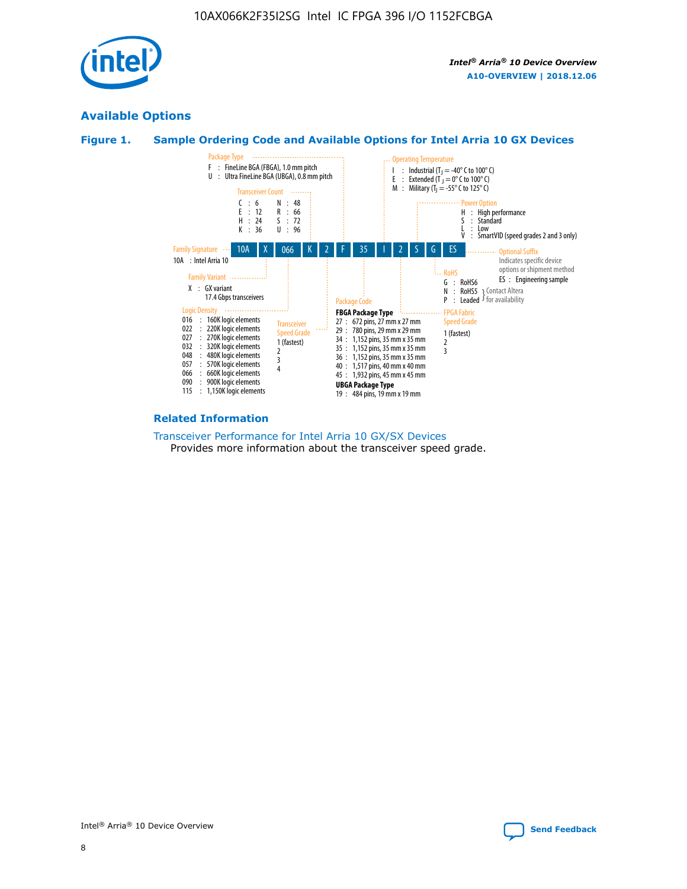

## **Available Options**





#### **Related Information**

[Transceiver Performance for Intel Arria 10 GX/SX Devices](https://www.intel.com/content/www/us/en/programmable/documentation/mcn1413182292568.html#mcn1413213965502) Provides more information about the transceiver speed grade.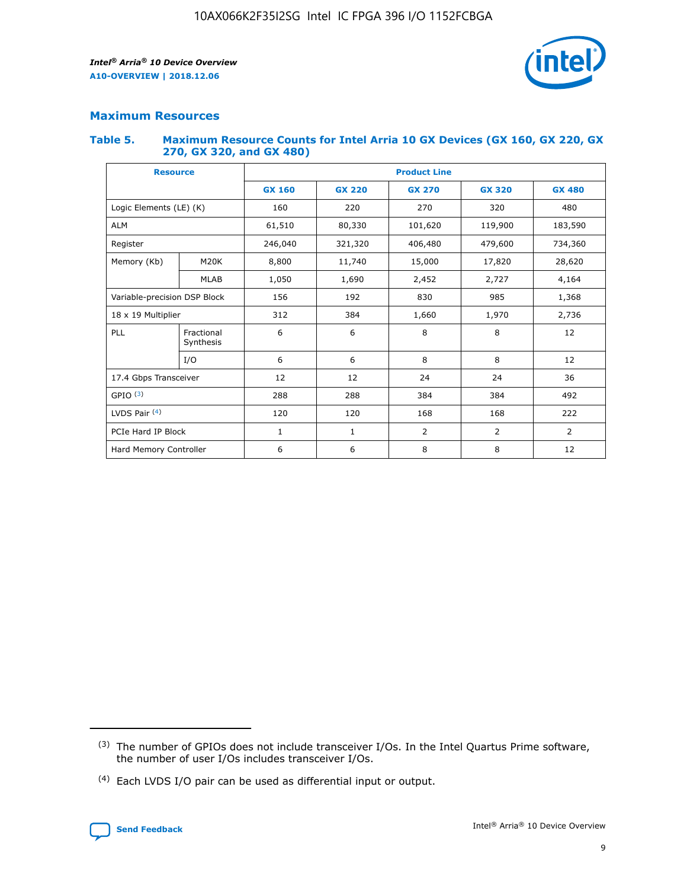

## **Maximum Resources**

#### **Table 5. Maximum Resource Counts for Intel Arria 10 GX Devices (GX 160, GX 220, GX 270, GX 320, and GX 480)**

| <b>Resource</b>         |                              | <b>Product Line</b> |                                                 |                |                |                |  |  |
|-------------------------|------------------------------|---------------------|-------------------------------------------------|----------------|----------------|----------------|--|--|
|                         |                              | <b>GX 160</b>       | <b>GX 220</b><br><b>GX 270</b><br><b>GX 320</b> |                |                | <b>GX 480</b>  |  |  |
| Logic Elements (LE) (K) |                              | 160                 | 220                                             | 270            | 320            | 480            |  |  |
| <b>ALM</b>              |                              | 61,510              | 80,330                                          | 101,620        | 119,900        | 183,590        |  |  |
| Register                |                              | 246,040             | 321,320                                         | 406,480        | 479,600        | 734,360        |  |  |
| Memory (Kb)             | M <sub>20</sub> K            | 8,800               | 11,740                                          | 15,000         | 17,820         | 28,620         |  |  |
|                         | <b>MLAB</b>                  | 1,050               | 1,690                                           | 2,452          | 2,727          | 4,164          |  |  |
|                         | Variable-precision DSP Block |                     | 192                                             | 830<br>985     |                | 1,368          |  |  |
| 18 x 19 Multiplier      |                              | 312                 | 384                                             | 1,970<br>1,660 |                | 2,736          |  |  |
| PLL                     | Fractional<br>Synthesis      | 6                   | 6                                               | 8              | 8              | 12             |  |  |
|                         | I/O                          | 6                   | 6                                               | 8              | 8              | 12             |  |  |
| 17.4 Gbps Transceiver   |                              | 12                  | 12                                              | 24             | 24             | 36             |  |  |
| GPIO <sup>(3)</sup>     |                              | 288                 | 288                                             | 384            | 384            | 492            |  |  |
| LVDS Pair $(4)$         |                              | 120                 | 120                                             | 168            | 168            | 222            |  |  |
| PCIe Hard IP Block      |                              | 1                   | 1                                               | 2              | $\overline{2}$ | $\overline{2}$ |  |  |
| Hard Memory Controller  |                              | 6                   | 6                                               | 8              | 8              | 12             |  |  |

<sup>(4)</sup> Each LVDS I/O pair can be used as differential input or output.



<sup>(3)</sup> The number of GPIOs does not include transceiver I/Os. In the Intel Quartus Prime software, the number of user I/Os includes transceiver I/Os.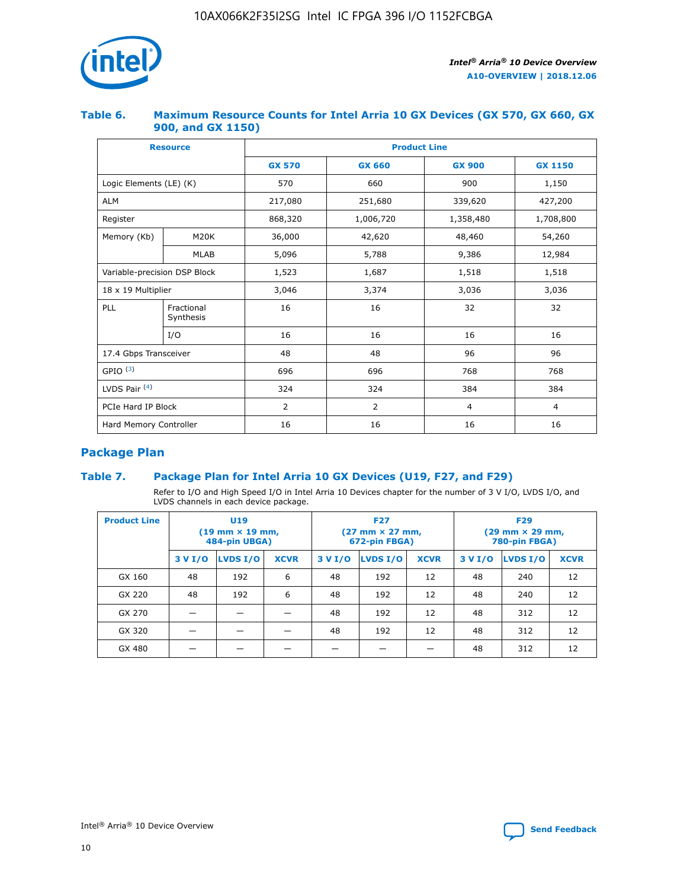

## **Table 6. Maximum Resource Counts for Intel Arria 10 GX Devices (GX 570, GX 660, GX 900, and GX 1150)**

|                              | <b>Resource</b>         | <b>Product Line</b> |               |                |                |  |  |  |
|------------------------------|-------------------------|---------------------|---------------|----------------|----------------|--|--|--|
|                              |                         | <b>GX 570</b>       | <b>GX 660</b> | <b>GX 900</b>  | <b>GX 1150</b> |  |  |  |
| Logic Elements (LE) (K)      |                         | 570                 | 660           | 900            | 1,150          |  |  |  |
| <b>ALM</b>                   |                         | 217,080             | 251,680       | 339,620        | 427,200        |  |  |  |
| Register                     |                         | 868,320             | 1,006,720     | 1,358,480      | 1,708,800      |  |  |  |
| Memory (Kb)                  | <b>M20K</b>             |                     | 42,620        | 48,460         | 54,260         |  |  |  |
|                              | <b>MLAB</b>             | 5,096               | 5,788         | 9,386          | 12,984         |  |  |  |
| Variable-precision DSP Block |                         | 1,523               | 1,687         | 1,518          | 1,518          |  |  |  |
| $18 \times 19$ Multiplier    |                         | 3,046               | 3,374         | 3,036          | 3,036          |  |  |  |
| PLL                          | Fractional<br>Synthesis | 16                  | 16            | 32             | 32             |  |  |  |
|                              | I/O                     | 16                  | 16            | 16             | 16             |  |  |  |
| 17.4 Gbps Transceiver        |                         | 48                  | 48            | 96             | 96             |  |  |  |
| GPIO <sup>(3)</sup>          |                         | 696                 | 696           | 768            | 768            |  |  |  |
| LVDS Pair $(4)$              |                         | 324                 | 324<br>384    |                | 384            |  |  |  |
| PCIe Hard IP Block           |                         | 2                   | 2             | $\overline{4}$ | $\overline{4}$ |  |  |  |
| Hard Memory Controller       |                         | 16                  | 16            | 16             | 16             |  |  |  |

## **Package Plan**

## **Table 7. Package Plan for Intel Arria 10 GX Devices (U19, F27, and F29)**

Refer to I/O and High Speed I/O in Intel Arria 10 Devices chapter for the number of 3 V I/O, LVDS I/O, and LVDS channels in each device package.

| <b>Product Line</b> | U <sub>19</sub><br>$(19 \text{ mm} \times 19 \text{ mm})$<br>484-pin UBGA) |          |             |         | <b>F27</b><br>(27 mm × 27 mm,<br>672-pin FBGA) |             | <b>F29</b><br>(29 mm × 29 mm,<br>780-pin FBGA) |          |             |  |
|---------------------|----------------------------------------------------------------------------|----------|-------------|---------|------------------------------------------------|-------------|------------------------------------------------|----------|-------------|--|
|                     | 3 V I/O                                                                    | LVDS I/O | <b>XCVR</b> | 3 V I/O | LVDS I/O                                       | <b>XCVR</b> | 3 V I/O                                        | LVDS I/O | <b>XCVR</b> |  |
| GX 160              | 48                                                                         | 192      | 6           | 48      | 192                                            | 12          | 48                                             | 240      | 12          |  |
| GX 220              | 48                                                                         | 192      | 6           | 48      | 192                                            | 12          | 48                                             | 240      | 12          |  |
| GX 270              |                                                                            |          |             | 48      | 192                                            | 12          | 48                                             | 312      | 12          |  |
| GX 320              |                                                                            |          |             | 48      | 192                                            | 12          | 48                                             | 312      | 12          |  |
| GX 480              |                                                                            |          |             |         |                                                |             | 48                                             | 312      | 12          |  |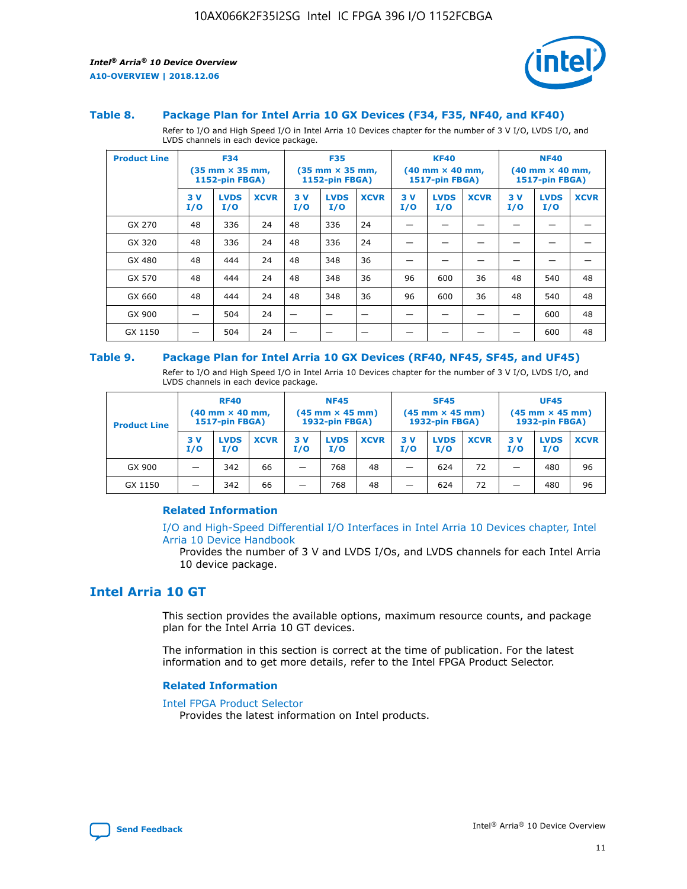



#### **Table 8. Package Plan for Intel Arria 10 GX Devices (F34, F35, NF40, and KF40)**

Refer to I/O and High Speed I/O in Intel Arria 10 Devices chapter for the number of 3 V I/O, LVDS I/O, and LVDS channels in each device package.

| <b>Product Line</b> | <b>F34</b><br>$(35 \text{ mm} \times 35 \text{ mm})$<br><b>1152-pin FBGA)</b> |                    | <b>F35</b><br>$(35 \text{ mm} \times 35 \text{ mm})$<br><b>1152-pin FBGA)</b> |           | <b>KF40</b><br>$(40$ mm $\times$ 40 mm,<br>1517-pin FBGA) |             |           | <b>NF40</b><br>$(40 \text{ mm} \times 40 \text{ mm})$<br>1517-pin FBGA) |             |           |                    |             |
|---------------------|-------------------------------------------------------------------------------|--------------------|-------------------------------------------------------------------------------|-----------|-----------------------------------------------------------|-------------|-----------|-------------------------------------------------------------------------|-------------|-----------|--------------------|-------------|
|                     | 3V<br>I/O                                                                     | <b>LVDS</b><br>I/O | <b>XCVR</b>                                                                   | 3V<br>I/O | <b>LVDS</b><br>I/O                                        | <b>XCVR</b> | 3V<br>I/O | <b>LVDS</b><br>I/O                                                      | <b>XCVR</b> | 3V<br>I/O | <b>LVDS</b><br>I/O | <b>XCVR</b> |
| GX 270              | 48                                                                            | 336                | 24                                                                            | 48        | 336                                                       | 24          |           |                                                                         |             |           |                    |             |
| GX 320              | 48                                                                            | 336                | 24                                                                            | 48        | 336                                                       | 24          |           |                                                                         |             |           |                    |             |
| GX 480              | 48                                                                            | 444                | 24                                                                            | 48        | 348                                                       | 36          |           |                                                                         |             |           |                    |             |
| GX 570              | 48                                                                            | 444                | 24                                                                            | 48        | 348                                                       | 36          | 96        | 600                                                                     | 36          | 48        | 540                | 48          |
| GX 660              | 48                                                                            | 444                | 24                                                                            | 48        | 348                                                       | 36          | 96        | 600                                                                     | 36          | 48        | 540                | 48          |
| GX 900              |                                                                               | 504                | 24                                                                            | –         |                                                           | -           |           |                                                                         |             |           | 600                | 48          |
| GX 1150             |                                                                               | 504                | 24                                                                            |           |                                                           |             |           |                                                                         |             |           | 600                | 48          |

#### **Table 9. Package Plan for Intel Arria 10 GX Devices (RF40, NF45, SF45, and UF45)**

Refer to I/O and High Speed I/O in Intel Arria 10 Devices chapter for the number of 3 V I/O, LVDS I/O, and LVDS channels in each device package.

| <b>Product Line</b> | <b>RF40</b><br>$(40$ mm $\times$ 40 mm,<br>1517-pin FBGA) |                    |             | <b>NF45</b><br>$(45 \text{ mm} \times 45 \text{ mm})$<br><b>1932-pin FBGA)</b> |                    |             | <b>SF45</b><br>$(45 \text{ mm} \times 45 \text{ mm})$<br><b>1932-pin FBGA)</b> |                    |             | <b>UF45</b><br>$(45 \text{ mm} \times 45 \text{ mm})$<br><b>1932-pin FBGA)</b> |                    |             |
|---------------------|-----------------------------------------------------------|--------------------|-------------|--------------------------------------------------------------------------------|--------------------|-------------|--------------------------------------------------------------------------------|--------------------|-------------|--------------------------------------------------------------------------------|--------------------|-------------|
|                     | 3V<br>I/O                                                 | <b>LVDS</b><br>I/O | <b>XCVR</b> | 3 V<br>I/O                                                                     | <b>LVDS</b><br>I/O | <b>XCVR</b> | 3 V<br>I/O                                                                     | <b>LVDS</b><br>I/O | <b>XCVR</b> | 3V<br>I/O                                                                      | <b>LVDS</b><br>I/O | <b>XCVR</b> |
| GX 900              |                                                           | 342                | 66          | _                                                                              | 768                | 48          |                                                                                | 624                | 72          |                                                                                | 480                | 96          |
| GX 1150             |                                                           | 342                | 66          | _                                                                              | 768                | 48          |                                                                                | 624                | 72          |                                                                                | 480                | 96          |

#### **Related Information**

[I/O and High-Speed Differential I/O Interfaces in Intel Arria 10 Devices chapter, Intel](https://www.intel.com/content/www/us/en/programmable/documentation/sam1403482614086.html#sam1403482030321) [Arria 10 Device Handbook](https://www.intel.com/content/www/us/en/programmable/documentation/sam1403482614086.html#sam1403482030321)

Provides the number of 3 V and LVDS I/Os, and LVDS channels for each Intel Arria 10 device package.

## **Intel Arria 10 GT**

This section provides the available options, maximum resource counts, and package plan for the Intel Arria 10 GT devices.

The information in this section is correct at the time of publication. For the latest information and to get more details, refer to the Intel FPGA Product Selector.

#### **Related Information**

#### [Intel FPGA Product Selector](http://www.altera.com/products/selector/psg-selector.html)

Provides the latest information on Intel products.

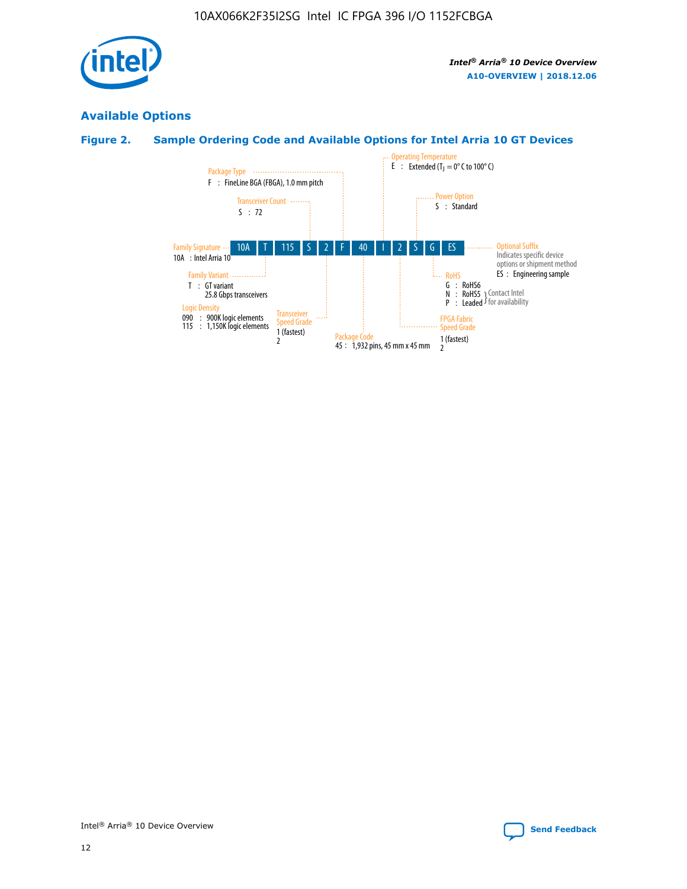

## **Available Options**

## **Figure 2. Sample Ordering Code and Available Options for Intel Arria 10 GT Devices**

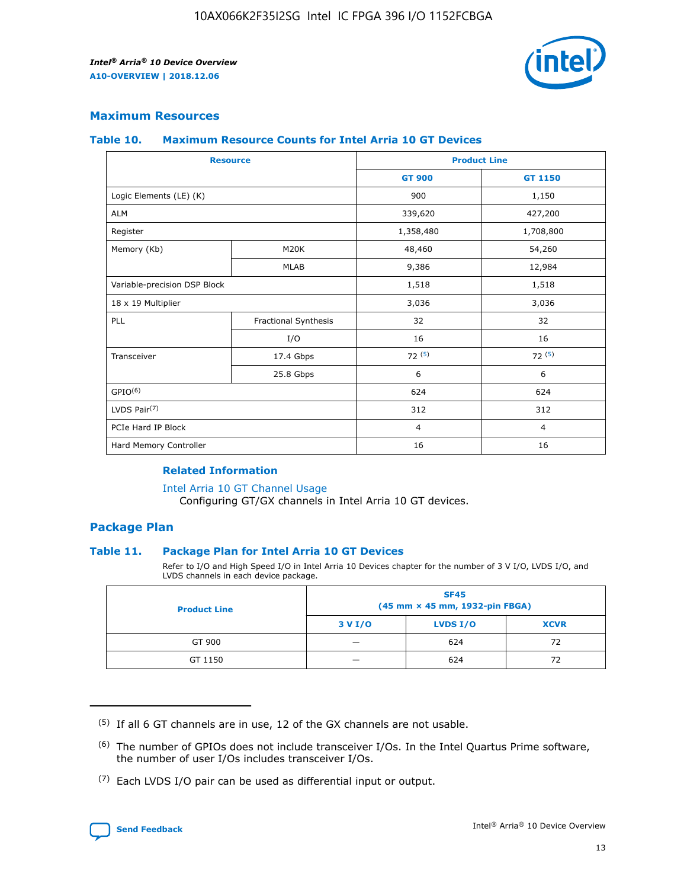

## **Maximum Resources**

#### **Table 10. Maximum Resource Counts for Intel Arria 10 GT Devices**

| <b>Resource</b>              |                      |                | <b>Product Line</b> |  |
|------------------------------|----------------------|----------------|---------------------|--|
|                              |                      | <b>GT 900</b>  | GT 1150             |  |
| Logic Elements (LE) (K)      |                      | 900            | 1,150               |  |
| <b>ALM</b>                   |                      | 339,620        | 427,200             |  |
| Register                     |                      | 1,358,480      | 1,708,800           |  |
| Memory (Kb)                  | M20K                 | 48,460         | 54,260              |  |
|                              | <b>MLAB</b>          | 9,386          | 12,984              |  |
| Variable-precision DSP Block |                      | 1,518          | 1,518               |  |
| 18 x 19 Multiplier           |                      | 3,036          | 3,036               |  |
| PLL                          | Fractional Synthesis | 32             | 32                  |  |
|                              | I/O                  | 16             | 16                  |  |
| Transceiver                  | 17.4 Gbps            | 72(5)          | 72(5)               |  |
|                              | 25.8 Gbps            | 6              | 6                   |  |
| GPIO <sup>(6)</sup>          |                      | 624            | 624                 |  |
| LVDS Pair $(7)$              |                      | 312            | 312                 |  |
| PCIe Hard IP Block           |                      | $\overline{4}$ | $\overline{4}$      |  |
| Hard Memory Controller       |                      | 16             | 16                  |  |

#### **Related Information**

#### [Intel Arria 10 GT Channel Usage](https://www.intel.com/content/www/us/en/programmable/documentation/nik1398707230472.html#nik1398707008178)

Configuring GT/GX channels in Intel Arria 10 GT devices.

## **Package Plan**

#### **Table 11. Package Plan for Intel Arria 10 GT Devices**

Refer to I/O and High Speed I/O in Intel Arria 10 Devices chapter for the number of 3 V I/O, LVDS I/O, and LVDS channels in each device package.

| <b>Product Line</b> | <b>SF45</b><br>(45 mm × 45 mm, 1932-pin FBGA) |                 |             |  |  |  |
|---------------------|-----------------------------------------------|-----------------|-------------|--|--|--|
|                     | 3 V I/O                                       | <b>LVDS I/O</b> | <b>XCVR</b> |  |  |  |
| GT 900              |                                               | 624             | 72          |  |  |  |
| GT 1150             |                                               | 624             | 72          |  |  |  |

<sup>(7)</sup> Each LVDS I/O pair can be used as differential input or output.



 $(5)$  If all 6 GT channels are in use, 12 of the GX channels are not usable.

<sup>(6)</sup> The number of GPIOs does not include transceiver I/Os. In the Intel Quartus Prime software, the number of user I/Os includes transceiver I/Os.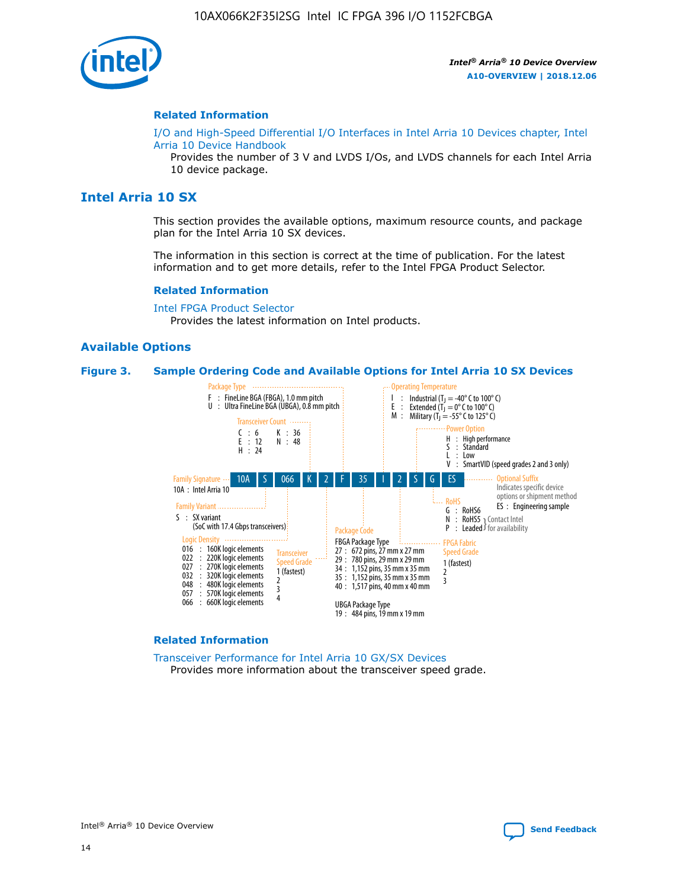

#### **Related Information**

[I/O and High-Speed Differential I/O Interfaces in Intel Arria 10 Devices chapter, Intel](https://www.intel.com/content/www/us/en/programmable/documentation/sam1403482614086.html#sam1403482030321) [Arria 10 Device Handbook](https://www.intel.com/content/www/us/en/programmable/documentation/sam1403482614086.html#sam1403482030321)

Provides the number of 3 V and LVDS I/Os, and LVDS channels for each Intel Arria 10 device package.

## **Intel Arria 10 SX**

This section provides the available options, maximum resource counts, and package plan for the Intel Arria 10 SX devices.

The information in this section is correct at the time of publication. For the latest information and to get more details, refer to the Intel FPGA Product Selector.

#### **Related Information**

[Intel FPGA Product Selector](http://www.altera.com/products/selector/psg-selector.html) Provides the latest information on Intel products.

#### **Available Options**

#### **Figure 3. Sample Ordering Code and Available Options for Intel Arria 10 SX Devices**



#### **Related Information**

[Transceiver Performance for Intel Arria 10 GX/SX Devices](https://www.intel.com/content/www/us/en/programmable/documentation/mcn1413182292568.html#mcn1413213965502) Provides more information about the transceiver speed grade.

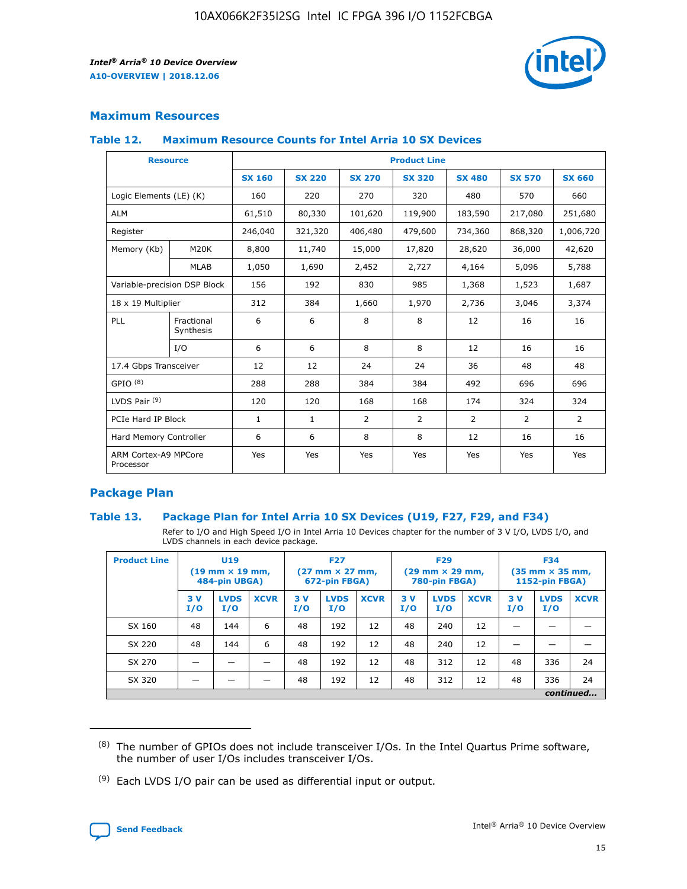

## **Maximum Resources**

#### **Table 12. Maximum Resource Counts for Intel Arria 10 SX Devices**

|                                   | <b>Resource</b>         | <b>Product Line</b> |               |                |                |                |                |                |  |  |  |
|-----------------------------------|-------------------------|---------------------|---------------|----------------|----------------|----------------|----------------|----------------|--|--|--|
|                                   |                         | <b>SX 160</b>       | <b>SX 220</b> | <b>SX 270</b>  | <b>SX 320</b>  | <b>SX 480</b>  | <b>SX 570</b>  | <b>SX 660</b>  |  |  |  |
| Logic Elements (LE) (K)           |                         | 160                 | 220           | 270            | 320            | 480            | 570            | 660            |  |  |  |
| <b>ALM</b>                        |                         | 61,510              | 80,330        | 101,620        | 119,900        | 183,590        | 217,080        | 251,680        |  |  |  |
| Register                          |                         | 246,040             | 321,320       | 406,480        | 479,600        | 734,360        | 868,320        | 1,006,720      |  |  |  |
| Memory (Kb)                       | M <sub>20</sub> K       | 8,800               | 11,740        | 15,000         | 17,820         | 28,620         | 36,000         | 42,620         |  |  |  |
|                                   | <b>MLAB</b>             | 1,050               | 1,690         | 2,452          | 2,727          | 4,164          | 5,096          | 5,788          |  |  |  |
| Variable-precision DSP Block      |                         | 156                 | 192           | 830            | 985            | 1,368          | 1,523          | 1,687          |  |  |  |
| 18 x 19 Multiplier                |                         | 312                 | 384           | 1,660          | 1,970          | 2,736          | 3,046          | 3,374          |  |  |  |
| <b>PLL</b>                        | Fractional<br>Synthesis | 6                   | 6             | 8              | 8              | 12             | 16             | 16             |  |  |  |
|                                   | I/O                     | 6                   | 6             | 8              | 8              | 12             | 16             | 16             |  |  |  |
| 17.4 Gbps Transceiver             |                         | 12                  | 12            | 24             | 24             | 36             | 48             | 48             |  |  |  |
| GPIO <sup>(8)</sup>               |                         | 288                 | 288           | 384            | 384            | 492            | 696            | 696            |  |  |  |
| LVDS Pair $(9)$                   |                         | 120                 | 120           | 168            | 168            | 174            | 324            | 324            |  |  |  |
| PCIe Hard IP Block                |                         | $\mathbf{1}$        | $\mathbf{1}$  | $\overline{2}$ | $\overline{2}$ | $\overline{2}$ | $\overline{2}$ | $\overline{2}$ |  |  |  |
| Hard Memory Controller            |                         | 6                   | 6             | 8              | 8              | 12             | 16             | 16             |  |  |  |
| ARM Cortex-A9 MPCore<br>Processor |                         | Yes                 | Yes           | Yes            | Yes            | Yes            | Yes            | Yes            |  |  |  |

## **Package Plan**

#### **Table 13. Package Plan for Intel Arria 10 SX Devices (U19, F27, F29, and F34)**

Refer to I/O and High Speed I/O in Intel Arria 10 Devices chapter for the number of 3 V I/O, LVDS I/O, and LVDS channels in each device package.

| <b>Product Line</b> | <b>U19</b><br>$(19 \text{ mm} \times 19 \text{ mm})$<br>484-pin UBGA) |                    |             | <b>F27</b><br>$(27 \text{ mm} \times 27 \text{ mm})$<br>672-pin FBGA) |                    | <b>F29</b><br>$(29 \text{ mm} \times 29 \text{ mm})$<br>780-pin FBGA) |           |                    | <b>F34</b><br>$(35 \text{ mm} \times 35 \text{ mm})$<br><b>1152-pin FBGA)</b> |           |                    |             |
|---------------------|-----------------------------------------------------------------------|--------------------|-------------|-----------------------------------------------------------------------|--------------------|-----------------------------------------------------------------------|-----------|--------------------|-------------------------------------------------------------------------------|-----------|--------------------|-------------|
|                     | 3V<br>I/O                                                             | <b>LVDS</b><br>I/O | <b>XCVR</b> | 3V<br>I/O                                                             | <b>LVDS</b><br>I/O | <b>XCVR</b>                                                           | 3V<br>I/O | <b>LVDS</b><br>I/O | <b>XCVR</b>                                                                   | 3V<br>I/O | <b>LVDS</b><br>I/O | <b>XCVR</b> |
| SX 160              | 48                                                                    | 144                | 6           | 48                                                                    | 192                | 12                                                                    | 48        | 240                | 12                                                                            | -         |                    |             |
| SX 220              | 48                                                                    | 144                | 6           | 48                                                                    | 192                | 12                                                                    | 48        | 240                | 12                                                                            |           |                    |             |
| SX 270              |                                                                       |                    |             | 48                                                                    | 192                | 12                                                                    | 48        | 312                | 12                                                                            | 48        | 336                | 24          |
| SX 320              |                                                                       |                    |             | 48                                                                    | 192                | 12                                                                    | 48        | 312                | 12                                                                            | 48        | 336                | 24          |
|                     | continued                                                             |                    |             |                                                                       |                    |                                                                       |           |                    |                                                                               |           |                    |             |

 $(8)$  The number of GPIOs does not include transceiver I/Os. In the Intel Quartus Prime software, the number of user I/Os includes transceiver I/Os.

 $(9)$  Each LVDS I/O pair can be used as differential input or output.

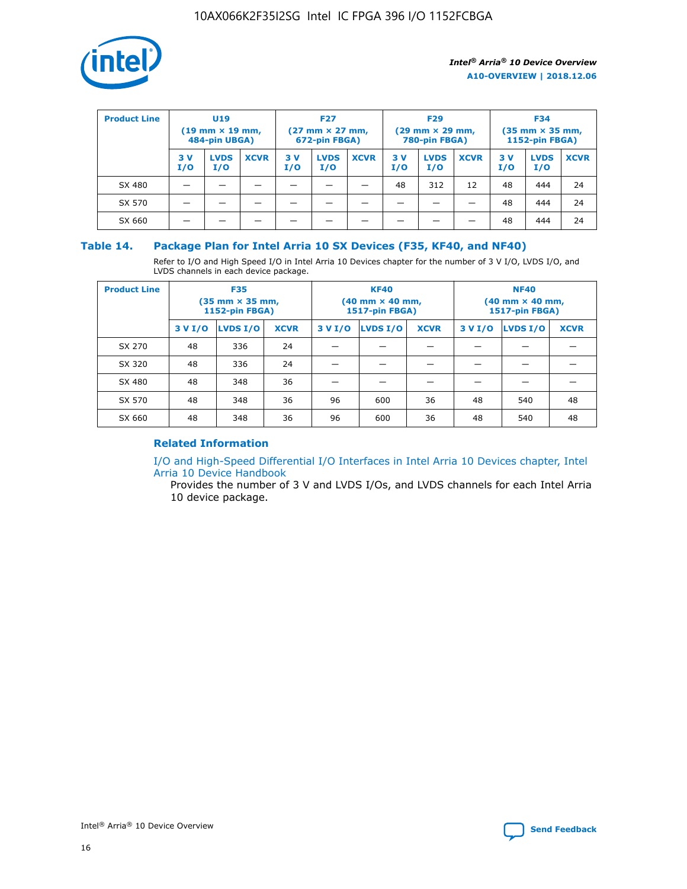

| <b>Product Line</b> | U <sub>19</sub><br>$(19 \text{ mm} \times 19 \text{ mm})$<br>484-pin UBGA) |                    | <b>F27</b><br>$(27 \text{ mm} \times 27 \text{ mm})$<br>672-pin FBGA) |           |                    | <b>F29</b><br>$(29$ mm $\times$ 29 mm,<br>780-pin FBGA) |           |                    | <b>F34</b><br>$(35$ mm $\times$ 35 mm,<br><b>1152-pin FBGA)</b> |            |                    |             |
|---------------------|----------------------------------------------------------------------------|--------------------|-----------------------------------------------------------------------|-----------|--------------------|---------------------------------------------------------|-----------|--------------------|-----------------------------------------------------------------|------------|--------------------|-------------|
|                     | 3 V<br>I/O                                                                 | <b>LVDS</b><br>I/O | <b>XCVR</b>                                                           | 3V<br>I/O | <b>LVDS</b><br>I/O | <b>XCVR</b>                                             | 3V<br>I/O | <b>LVDS</b><br>I/O | <b>XCVR</b>                                                     | 3 V<br>I/O | <b>LVDS</b><br>I/O | <b>XCVR</b> |
| SX 480              |                                                                            |                    |                                                                       |           |                    |                                                         | 48        | 312                | 12                                                              | 48         | 444                | 24          |
| SX 570              |                                                                            |                    |                                                                       |           |                    |                                                         |           |                    |                                                                 | 48         | 444                | 24          |
| SX 660              |                                                                            |                    |                                                                       |           |                    |                                                         |           |                    |                                                                 | 48         | 444                | 24          |

## **Table 14. Package Plan for Intel Arria 10 SX Devices (F35, KF40, and NF40)**

Refer to I/O and High Speed I/O in Intel Arria 10 Devices chapter for the number of 3 V I/O, LVDS I/O, and LVDS channels in each device package.

| <b>Product Line</b> | <b>F35</b><br>$(35 \text{ mm} \times 35 \text{ mm})$<br><b>1152-pin FBGA)</b> |          |             |                                           | <b>KF40</b><br>(40 mm × 40 mm,<br>1517-pin FBGA) |    | <b>NF40</b><br>$(40 \text{ mm} \times 40 \text{ mm})$<br>1517-pin FBGA) |          |             |  |
|---------------------|-------------------------------------------------------------------------------|----------|-------------|-------------------------------------------|--------------------------------------------------|----|-------------------------------------------------------------------------|----------|-------------|--|
|                     | 3 V I/O                                                                       | LVDS I/O | <b>XCVR</b> | <b>LVDS I/O</b><br><b>XCVR</b><br>3 V I/O |                                                  |    | 3 V I/O                                                                 | LVDS I/O | <b>XCVR</b> |  |
| SX 270              | 48                                                                            | 336      | 24          |                                           |                                                  |    |                                                                         |          |             |  |
| SX 320              | 48                                                                            | 336      | 24          |                                           |                                                  |    |                                                                         |          |             |  |
| SX 480              | 48                                                                            | 348      | 36          |                                           |                                                  |    |                                                                         |          |             |  |
| SX 570              | 48                                                                            | 348      | 36          | 96                                        | 600                                              | 36 | 48                                                                      | 540      | 48          |  |
| SX 660              | 48                                                                            | 348      | 36          | 96                                        | 600                                              | 36 | 48                                                                      | 540      | 48          |  |

## **Related Information**

[I/O and High-Speed Differential I/O Interfaces in Intel Arria 10 Devices chapter, Intel](https://www.intel.com/content/www/us/en/programmable/documentation/sam1403482614086.html#sam1403482030321) [Arria 10 Device Handbook](https://www.intel.com/content/www/us/en/programmable/documentation/sam1403482614086.html#sam1403482030321)

Provides the number of 3 V and LVDS I/Os, and LVDS channels for each Intel Arria 10 device package.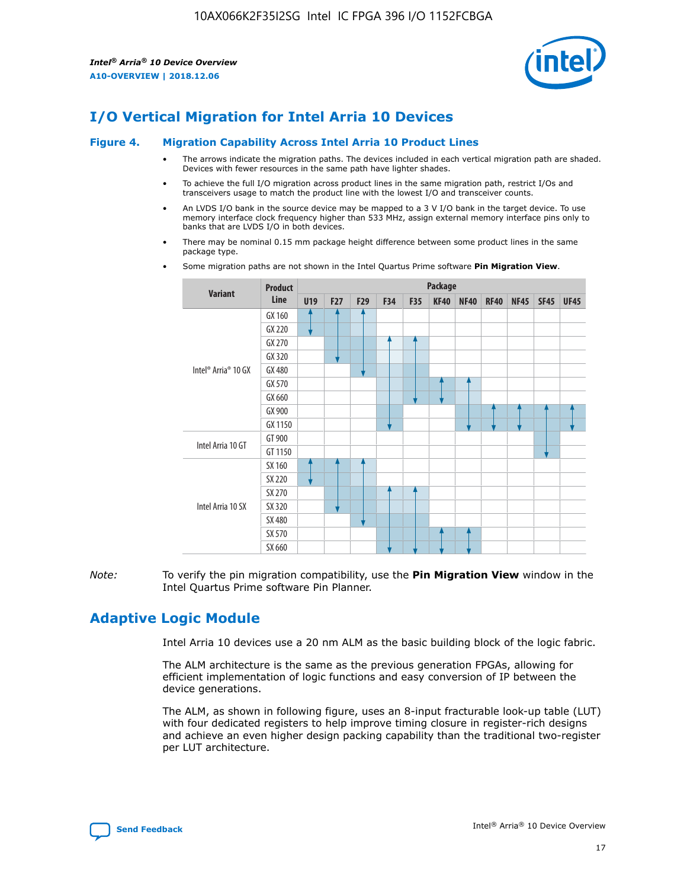

## **I/O Vertical Migration for Intel Arria 10 Devices**

#### **Figure 4. Migration Capability Across Intel Arria 10 Product Lines**

- The arrows indicate the migration paths. The devices included in each vertical migration path are shaded. Devices with fewer resources in the same path have lighter shades.
- To achieve the full I/O migration across product lines in the same migration path, restrict I/Os and transceivers usage to match the product line with the lowest I/O and transceiver counts.
- An LVDS I/O bank in the source device may be mapped to a 3 V I/O bank in the target device. To use memory interface clock frequency higher than 533 MHz, assign external memory interface pins only to banks that are LVDS I/O in both devices.
- There may be nominal 0.15 mm package height difference between some product lines in the same package type.
	- **Variant Product Line Package U19 F27 F29 F34 F35 KF40 NF40 RF40 NF45 SF45 UF45** Intel® Arria® 10 GX GX 160 GX 220 GX 270 GX 320 GX 480 GX 570 GX 660 GX 900 GX 1150 Intel Arria 10 GT GT 900 GT 1150 Intel Arria 10 SX SX 160 SX 220 SX 270 SX 320 SX 480 SX 570 SX 660
- Some migration paths are not shown in the Intel Quartus Prime software **Pin Migration View**.

*Note:* To verify the pin migration compatibility, use the **Pin Migration View** window in the Intel Quartus Prime software Pin Planner.

## **Adaptive Logic Module**

Intel Arria 10 devices use a 20 nm ALM as the basic building block of the logic fabric.

The ALM architecture is the same as the previous generation FPGAs, allowing for efficient implementation of logic functions and easy conversion of IP between the device generations.

The ALM, as shown in following figure, uses an 8-input fracturable look-up table (LUT) with four dedicated registers to help improve timing closure in register-rich designs and achieve an even higher design packing capability than the traditional two-register per LUT architecture.

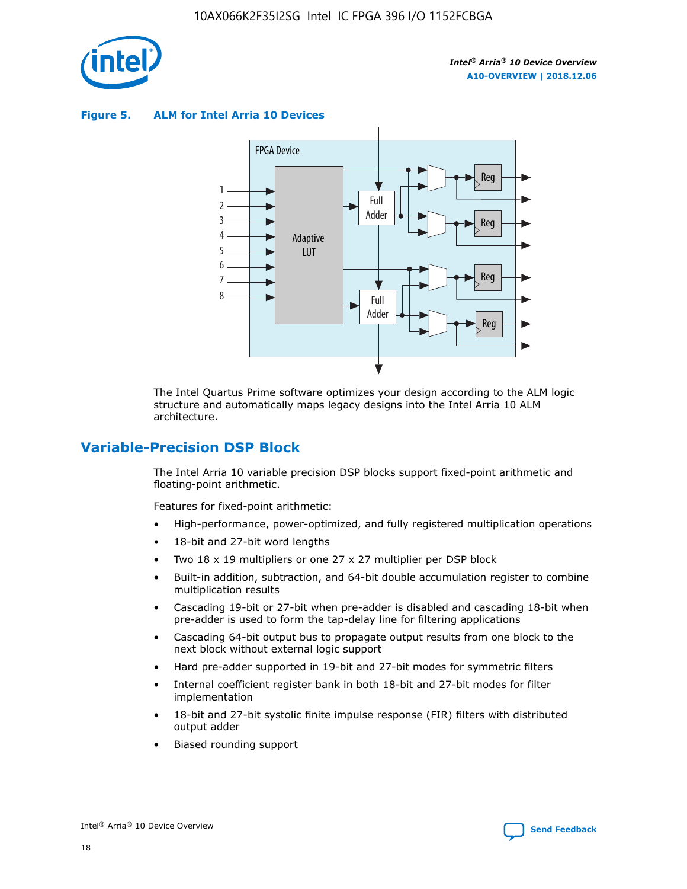

**Figure 5. ALM for Intel Arria 10 Devices**



The Intel Quartus Prime software optimizes your design according to the ALM logic structure and automatically maps legacy designs into the Intel Arria 10 ALM architecture.

## **Variable-Precision DSP Block**

The Intel Arria 10 variable precision DSP blocks support fixed-point arithmetic and floating-point arithmetic.

Features for fixed-point arithmetic:

- High-performance, power-optimized, and fully registered multiplication operations
- 18-bit and 27-bit word lengths
- Two 18 x 19 multipliers or one 27 x 27 multiplier per DSP block
- Built-in addition, subtraction, and 64-bit double accumulation register to combine multiplication results
- Cascading 19-bit or 27-bit when pre-adder is disabled and cascading 18-bit when pre-adder is used to form the tap-delay line for filtering applications
- Cascading 64-bit output bus to propagate output results from one block to the next block without external logic support
- Hard pre-adder supported in 19-bit and 27-bit modes for symmetric filters
- Internal coefficient register bank in both 18-bit and 27-bit modes for filter implementation
- 18-bit and 27-bit systolic finite impulse response (FIR) filters with distributed output adder
- Biased rounding support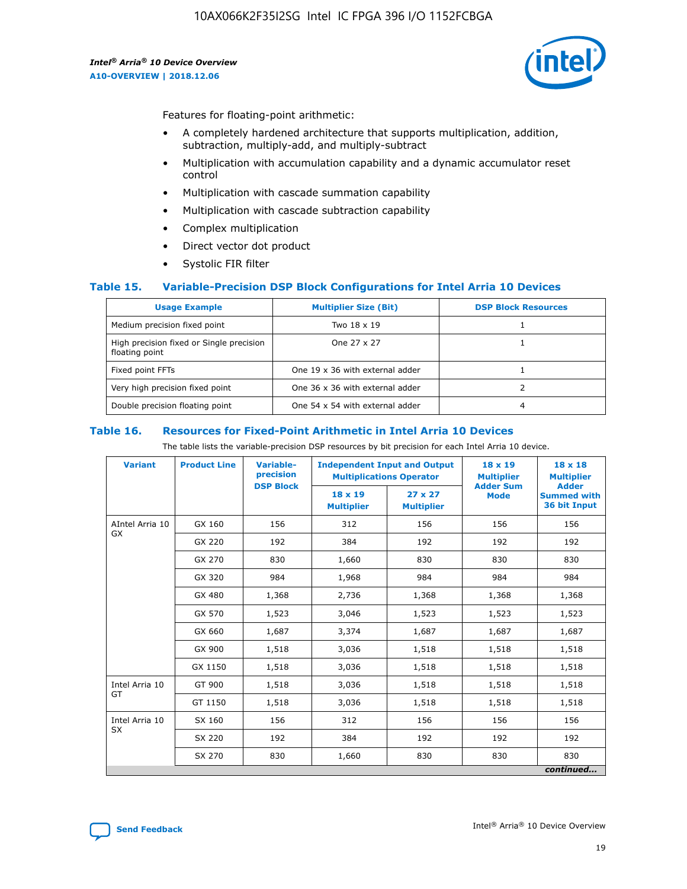

Features for floating-point arithmetic:

- A completely hardened architecture that supports multiplication, addition, subtraction, multiply-add, and multiply-subtract
- Multiplication with accumulation capability and a dynamic accumulator reset control
- Multiplication with cascade summation capability
- Multiplication with cascade subtraction capability
- Complex multiplication
- Direct vector dot product
- Systolic FIR filter

#### **Table 15. Variable-Precision DSP Block Configurations for Intel Arria 10 Devices**

| <b>Usage Example</b>                                       | <b>Multiplier Size (Bit)</b>    | <b>DSP Block Resources</b> |
|------------------------------------------------------------|---------------------------------|----------------------------|
| Medium precision fixed point                               | Two 18 x 19                     |                            |
| High precision fixed or Single precision<br>floating point | One 27 x 27                     |                            |
| Fixed point FFTs                                           | One 19 x 36 with external adder |                            |
| Very high precision fixed point                            | One 36 x 36 with external adder |                            |
| Double precision floating point                            | One 54 x 54 with external adder | 4                          |

#### **Table 16. Resources for Fixed-Point Arithmetic in Intel Arria 10 Devices**

The table lists the variable-precision DSP resources by bit precision for each Intel Arria 10 device.

| <b>Variant</b>  | <b>Product Line</b> | Variable-<br>precision<br><b>DSP Block</b> | <b>Independent Input and Output</b><br><b>Multiplications Operator</b> |                                     | $18 \times 19$<br><b>Multiplier</b><br><b>Adder Sum</b> | $18 \times 18$<br><b>Multiplier</b><br><b>Adder</b> |
|-----------------|---------------------|--------------------------------------------|------------------------------------------------------------------------|-------------------------------------|---------------------------------------------------------|-----------------------------------------------------|
|                 |                     |                                            | $18 \times 19$<br><b>Multiplier</b>                                    | $27 \times 27$<br><b>Multiplier</b> | <b>Mode</b>                                             | <b>Summed with</b><br>36 bit Input                  |
| AIntel Arria 10 | GX 160              | 156                                        | 312                                                                    | 156                                 | 156                                                     | 156                                                 |
| <b>GX</b>       | GX 220              | 192                                        | 384                                                                    | 192                                 | 192                                                     | 192                                                 |
|                 | GX 270              | 830                                        | 1,660                                                                  | 830                                 | 830                                                     | 830                                                 |
|                 | GX 320              | 984                                        | 1,968                                                                  | 984                                 | 984                                                     | 984                                                 |
|                 | GX 480              | 1,368                                      | 2,736                                                                  | 1,368                               | 1,368                                                   | 1,368                                               |
|                 | GX 570              | 1,523                                      | 3,046                                                                  | 1,523                               | 1,523                                                   | 1,523                                               |
|                 | GX 660              | 1,687                                      | 3,374                                                                  | 1,687                               | 1,687                                                   | 1,687                                               |
|                 | GX 900              | 1,518                                      | 3,036                                                                  | 1,518                               | 1,518                                                   | 1,518                                               |
|                 | GX 1150             | 1,518                                      | 3,036                                                                  | 1,518                               | 1,518                                                   | 1,518                                               |
| Intel Arria 10  | GT 900              | 1,518                                      | 3,036                                                                  | 1,518                               | 1,518                                                   | 1,518                                               |
| GT              | GT 1150             | 1,518                                      | 3,036                                                                  | 1,518                               | 1,518                                                   | 1,518                                               |
| Intel Arria 10  | SX 160              | 156                                        | 312                                                                    | 156                                 | 156                                                     | 156                                                 |
| <b>SX</b>       | SX 220              | 192                                        | 384                                                                    | 192                                 | 192                                                     | 192                                                 |
|                 | SX 270              | 830                                        | 1,660                                                                  | 830                                 | 830                                                     | 830                                                 |
|                 |                     |                                            |                                                                        |                                     |                                                         | continued                                           |

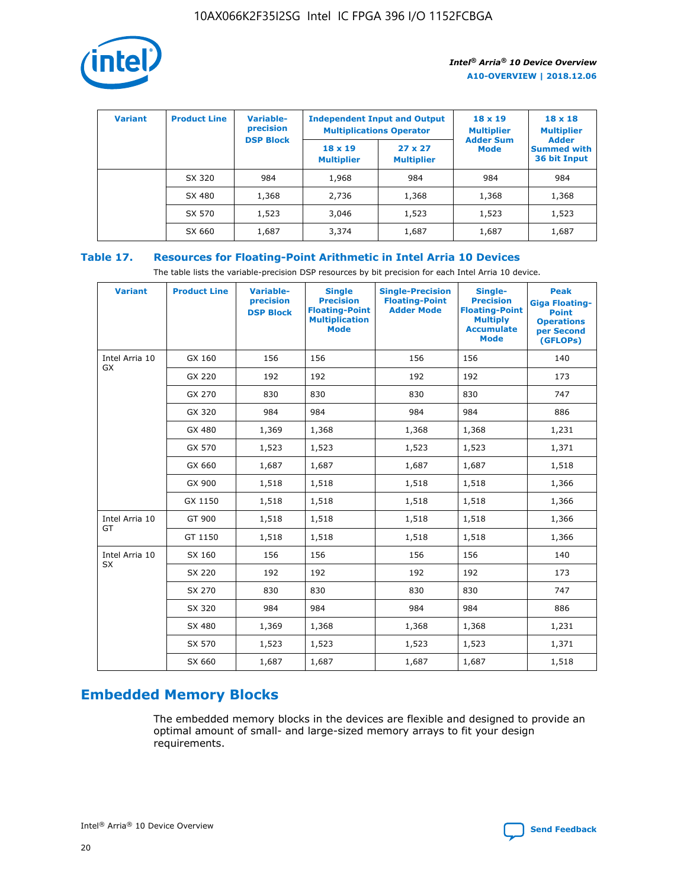

| <b>Variant</b> | <b>Product Line</b> | <b>Variable-</b><br>precision |                                     | <b>Independent Input and Output</b><br><b>Multiplications Operator</b> | $18 \times 19$<br><b>Multiplier</b> | $18 \times 18$<br><b>Multiplier</b><br><b>Adder</b> |  |
|----------------|---------------------|-------------------------------|-------------------------------------|------------------------------------------------------------------------|-------------------------------------|-----------------------------------------------------|--|
|                |                     | <b>DSP Block</b>              | $18 \times 19$<br><b>Multiplier</b> | $27 \times 27$<br><b>Multiplier</b>                                    | <b>Adder Sum</b><br><b>Mode</b>     | <b>Summed with</b><br>36 bit Input                  |  |
|                | SX 320              | 984                           | 1,968                               | 984                                                                    | 984                                 | 984                                                 |  |
|                | SX 480              | 1,368                         | 2,736                               | 1,368                                                                  | 1,368                               | 1,368                                               |  |
|                | SX 570              | 1,523                         | 3,046                               | 1,523                                                                  | 1,523                               | 1,523                                               |  |
|                | SX 660              | 1,687                         | 3,374                               | 1,687                                                                  | 1,687                               | 1,687                                               |  |

## **Table 17. Resources for Floating-Point Arithmetic in Intel Arria 10 Devices**

The table lists the variable-precision DSP resources by bit precision for each Intel Arria 10 device.

| <b>Variant</b> | <b>Product Line</b> | <b>Variable-</b><br>precision<br><b>DSP Block</b> | <b>Single</b><br><b>Precision</b><br><b>Floating-Point</b><br><b>Multiplication</b><br><b>Mode</b> | <b>Single-Precision</b><br><b>Floating-Point</b><br><b>Adder Mode</b> | Single-<br><b>Precision</b><br><b>Floating-Point</b><br><b>Multiply</b><br><b>Accumulate</b><br><b>Mode</b> | <b>Peak</b><br><b>Giga Floating-</b><br><b>Point</b><br><b>Operations</b><br>per Second<br>(GFLOPs) |
|----------------|---------------------|---------------------------------------------------|----------------------------------------------------------------------------------------------------|-----------------------------------------------------------------------|-------------------------------------------------------------------------------------------------------------|-----------------------------------------------------------------------------------------------------|
| Intel Arria 10 | GX 160              | 156                                               | 156                                                                                                | 156                                                                   | 156                                                                                                         | 140                                                                                                 |
| GX             | GX 220              | 192                                               | 192                                                                                                | 192                                                                   | 192                                                                                                         | 173                                                                                                 |
|                | GX 270              | 830                                               | 830                                                                                                | 830                                                                   | 830                                                                                                         | 747                                                                                                 |
|                | GX 320              | 984                                               | 984                                                                                                | 984                                                                   | 984                                                                                                         | 886                                                                                                 |
|                | GX 480              | 1,369                                             | 1,368                                                                                              | 1,368                                                                 | 1,368                                                                                                       | 1,231                                                                                               |
|                | GX 570              | 1,523                                             | 1,523                                                                                              | 1,523                                                                 | 1,523                                                                                                       | 1,371                                                                                               |
|                | GX 660              | 1,687                                             | 1,687                                                                                              | 1,687                                                                 | 1,687                                                                                                       | 1,518                                                                                               |
|                | GX 900              | 1,518                                             | 1,518                                                                                              | 1,518                                                                 | 1,518                                                                                                       | 1,366                                                                                               |
|                | GX 1150             | 1,518                                             | 1,518                                                                                              | 1,518                                                                 | 1,518                                                                                                       | 1,366                                                                                               |
| Intel Arria 10 | GT 900              | 1,518                                             | 1,518                                                                                              | 1,518                                                                 | 1,518                                                                                                       | 1,366                                                                                               |
| GT             | GT 1150             | 1,518                                             | 1,518                                                                                              | 1,518                                                                 | 1,518                                                                                                       | 1,366                                                                                               |
| Intel Arria 10 | SX 160              | 156                                               | 156                                                                                                | 156                                                                   | 156                                                                                                         | 140                                                                                                 |
| SX             | SX 220              | 192                                               | 192                                                                                                | 192                                                                   | 192                                                                                                         | 173                                                                                                 |
|                | SX 270              | 830                                               | 830                                                                                                | 830                                                                   | 830                                                                                                         | 747                                                                                                 |
|                | SX 320              | 984                                               | 984                                                                                                | 984                                                                   | 984                                                                                                         | 886                                                                                                 |
|                | SX 480              | 1,369                                             | 1,368                                                                                              | 1,368                                                                 | 1,368                                                                                                       | 1,231                                                                                               |
|                | SX 570              | 1,523                                             | 1,523                                                                                              | 1,523                                                                 | 1,523                                                                                                       | 1,371                                                                                               |
|                | SX 660              | 1,687                                             | 1,687                                                                                              | 1,687                                                                 | 1,687                                                                                                       | 1,518                                                                                               |

# **Embedded Memory Blocks**

The embedded memory blocks in the devices are flexible and designed to provide an optimal amount of small- and large-sized memory arrays to fit your design requirements.

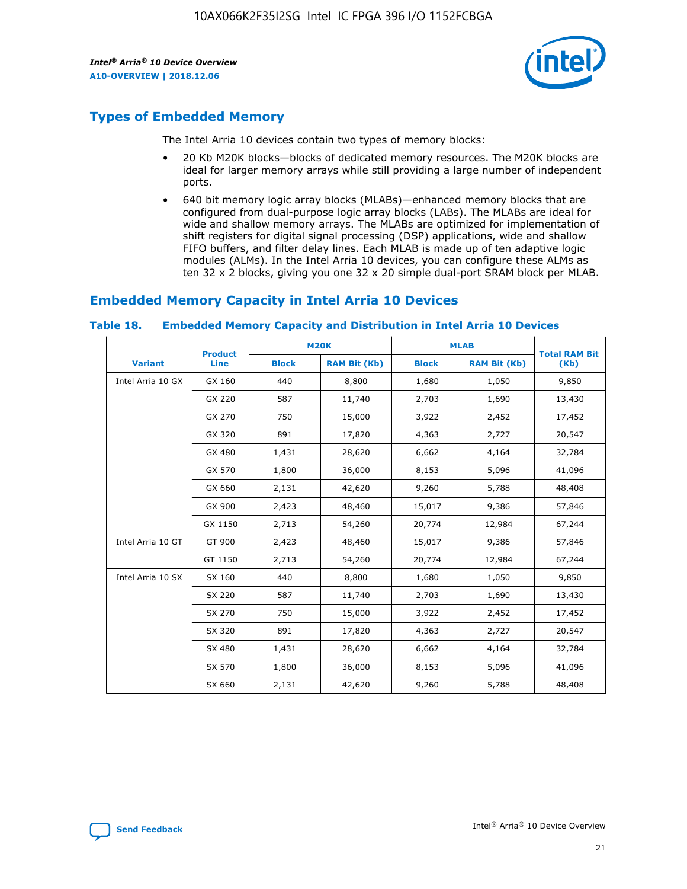

## **Types of Embedded Memory**

The Intel Arria 10 devices contain two types of memory blocks:

- 20 Kb M20K blocks—blocks of dedicated memory resources. The M20K blocks are ideal for larger memory arrays while still providing a large number of independent ports.
- 640 bit memory logic array blocks (MLABs)—enhanced memory blocks that are configured from dual-purpose logic array blocks (LABs). The MLABs are ideal for wide and shallow memory arrays. The MLABs are optimized for implementation of shift registers for digital signal processing (DSP) applications, wide and shallow FIFO buffers, and filter delay lines. Each MLAB is made up of ten adaptive logic modules (ALMs). In the Intel Arria 10 devices, you can configure these ALMs as ten 32 x 2 blocks, giving you one 32 x 20 simple dual-port SRAM block per MLAB.

## **Embedded Memory Capacity in Intel Arria 10 Devices**

|                   | <b>Product</b> |              | <b>M20K</b>         | <b>MLAB</b>  |                     | <b>Total RAM Bit</b> |
|-------------------|----------------|--------------|---------------------|--------------|---------------------|----------------------|
| <b>Variant</b>    | <b>Line</b>    | <b>Block</b> | <b>RAM Bit (Kb)</b> | <b>Block</b> | <b>RAM Bit (Kb)</b> | (Kb)                 |
| Intel Arria 10 GX | GX 160         | 440          | 8,800               | 1,680        | 1,050               | 9,850                |
|                   | GX 220         | 587          | 11,740              | 2,703        | 1,690               | 13,430               |
|                   | GX 270         | 750          | 15,000              | 3,922        | 2,452               | 17,452               |
|                   | GX 320         | 891          | 17,820              | 4,363        | 2,727               | 20,547               |
|                   | GX 480         | 1,431        | 28,620              | 6,662        | 4,164               | 32,784               |
|                   | GX 570         | 1,800        | 36,000              | 8,153        | 5,096               | 41,096               |
|                   | GX 660         | 2,131        | 42,620              | 9,260        | 5,788               | 48,408               |
|                   | GX 900         | 2,423        | 48,460              | 15,017       | 9,386               | 57,846               |
|                   | GX 1150        | 2,713        | 54,260              | 20,774       | 12,984              | 67,244               |
| Intel Arria 10 GT | GT 900         | 2,423        | 48,460              | 15,017       | 9,386               | 57,846               |
|                   | GT 1150        | 2,713        | 54,260              | 20,774       | 12,984              | 67,244               |
| Intel Arria 10 SX | SX 160         | 440          | 8,800               | 1,680        | 1,050               | 9,850                |
|                   | SX 220         | 587          | 11,740              | 2,703        | 1,690               | 13,430               |
|                   | SX 270         | 750          | 15,000              | 3,922        | 2,452               | 17,452               |
|                   | SX 320         | 891          | 17,820              | 4,363        | 2,727               | 20,547               |
|                   | SX 480         | 1,431        | 28,620              | 6,662        | 4,164               | 32,784               |
|                   | SX 570         | 1,800        | 36,000              | 8,153        | 5,096               | 41,096               |
|                   | SX 660         | 2,131        | 42,620              | 9,260        | 5,788               | 48,408               |

#### **Table 18. Embedded Memory Capacity and Distribution in Intel Arria 10 Devices**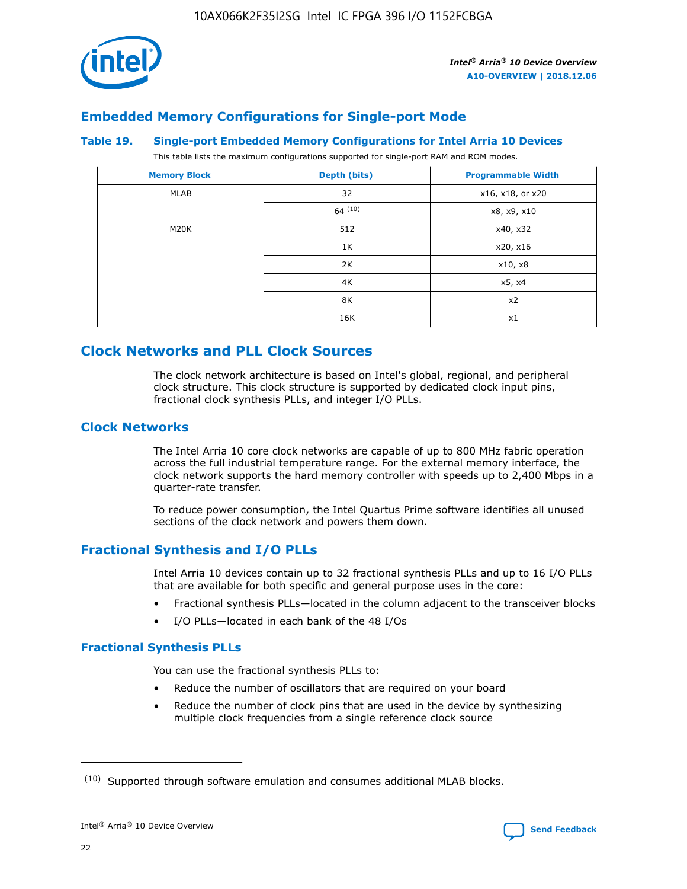

## **Embedded Memory Configurations for Single-port Mode**

#### **Table 19. Single-port Embedded Memory Configurations for Intel Arria 10 Devices**

This table lists the maximum configurations supported for single-port RAM and ROM modes.

| <b>Memory Block</b> | Depth (bits) | <b>Programmable Width</b> |
|---------------------|--------------|---------------------------|
| MLAB                | 32           | x16, x18, or x20          |
|                     | 64(10)       | x8, x9, x10               |
| M20K                | 512          | x40, x32                  |
|                     | 1K           | x20, x16                  |
|                     | 2K           | x10, x8                   |
|                     | 4K           | x5, x4                    |
|                     | 8K           | x2                        |
|                     | 16K          | x1                        |

## **Clock Networks and PLL Clock Sources**

The clock network architecture is based on Intel's global, regional, and peripheral clock structure. This clock structure is supported by dedicated clock input pins, fractional clock synthesis PLLs, and integer I/O PLLs.

## **Clock Networks**

The Intel Arria 10 core clock networks are capable of up to 800 MHz fabric operation across the full industrial temperature range. For the external memory interface, the clock network supports the hard memory controller with speeds up to 2,400 Mbps in a quarter-rate transfer.

To reduce power consumption, the Intel Quartus Prime software identifies all unused sections of the clock network and powers them down.

## **Fractional Synthesis and I/O PLLs**

Intel Arria 10 devices contain up to 32 fractional synthesis PLLs and up to 16 I/O PLLs that are available for both specific and general purpose uses in the core:

- Fractional synthesis PLLs—located in the column adjacent to the transceiver blocks
- I/O PLLs—located in each bank of the 48 I/Os

## **Fractional Synthesis PLLs**

You can use the fractional synthesis PLLs to:

- Reduce the number of oscillators that are required on your board
- Reduce the number of clock pins that are used in the device by synthesizing multiple clock frequencies from a single reference clock source

<sup>(10)</sup> Supported through software emulation and consumes additional MLAB blocks.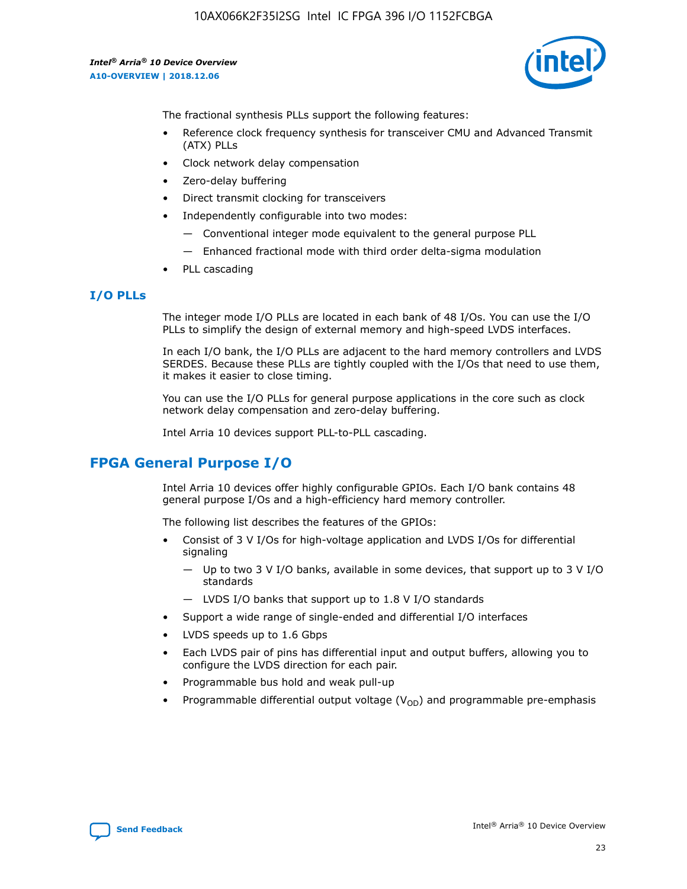

The fractional synthesis PLLs support the following features:

- Reference clock frequency synthesis for transceiver CMU and Advanced Transmit (ATX) PLLs
- Clock network delay compensation
- Zero-delay buffering
- Direct transmit clocking for transceivers
- Independently configurable into two modes:
	- Conventional integer mode equivalent to the general purpose PLL
	- Enhanced fractional mode with third order delta-sigma modulation
- PLL cascading

#### **I/O PLLs**

The integer mode I/O PLLs are located in each bank of 48 I/Os. You can use the I/O PLLs to simplify the design of external memory and high-speed LVDS interfaces.

In each I/O bank, the I/O PLLs are adjacent to the hard memory controllers and LVDS SERDES. Because these PLLs are tightly coupled with the I/Os that need to use them, it makes it easier to close timing.

You can use the I/O PLLs for general purpose applications in the core such as clock network delay compensation and zero-delay buffering.

Intel Arria 10 devices support PLL-to-PLL cascading.

## **FPGA General Purpose I/O**

Intel Arria 10 devices offer highly configurable GPIOs. Each I/O bank contains 48 general purpose I/Os and a high-efficiency hard memory controller.

The following list describes the features of the GPIOs:

- Consist of 3 V I/Os for high-voltage application and LVDS I/Os for differential signaling
	- Up to two 3 V I/O banks, available in some devices, that support up to 3 V I/O standards
	- LVDS I/O banks that support up to 1.8 V I/O standards
- Support a wide range of single-ended and differential I/O interfaces
- LVDS speeds up to 1.6 Gbps
- Each LVDS pair of pins has differential input and output buffers, allowing you to configure the LVDS direction for each pair.
- Programmable bus hold and weak pull-up
- Programmable differential output voltage  $(V_{OD})$  and programmable pre-emphasis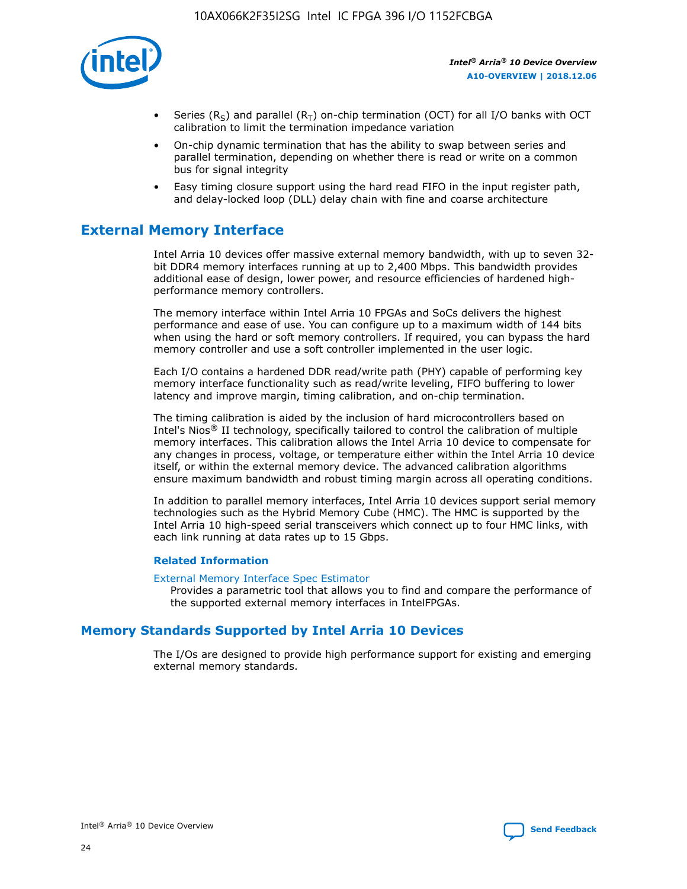

- Series (R<sub>S</sub>) and parallel (R<sub>T</sub>) on-chip termination (OCT) for all I/O banks with OCT calibration to limit the termination impedance variation
- On-chip dynamic termination that has the ability to swap between series and parallel termination, depending on whether there is read or write on a common bus for signal integrity
- Easy timing closure support using the hard read FIFO in the input register path, and delay-locked loop (DLL) delay chain with fine and coarse architecture

## **External Memory Interface**

Intel Arria 10 devices offer massive external memory bandwidth, with up to seven 32 bit DDR4 memory interfaces running at up to 2,400 Mbps. This bandwidth provides additional ease of design, lower power, and resource efficiencies of hardened highperformance memory controllers.

The memory interface within Intel Arria 10 FPGAs and SoCs delivers the highest performance and ease of use. You can configure up to a maximum width of 144 bits when using the hard or soft memory controllers. If required, you can bypass the hard memory controller and use a soft controller implemented in the user logic.

Each I/O contains a hardened DDR read/write path (PHY) capable of performing key memory interface functionality such as read/write leveling, FIFO buffering to lower latency and improve margin, timing calibration, and on-chip termination.

The timing calibration is aided by the inclusion of hard microcontrollers based on Intel's Nios® II technology, specifically tailored to control the calibration of multiple memory interfaces. This calibration allows the Intel Arria 10 device to compensate for any changes in process, voltage, or temperature either within the Intel Arria 10 device itself, or within the external memory device. The advanced calibration algorithms ensure maximum bandwidth and robust timing margin across all operating conditions.

In addition to parallel memory interfaces, Intel Arria 10 devices support serial memory technologies such as the Hybrid Memory Cube (HMC). The HMC is supported by the Intel Arria 10 high-speed serial transceivers which connect up to four HMC links, with each link running at data rates up to 15 Gbps.

#### **Related Information**

#### [External Memory Interface Spec Estimator](http://www.altera.com/technology/memory/estimator/mem-emif-index.html)

Provides a parametric tool that allows you to find and compare the performance of the supported external memory interfaces in IntelFPGAs.

## **Memory Standards Supported by Intel Arria 10 Devices**

The I/Os are designed to provide high performance support for existing and emerging external memory standards.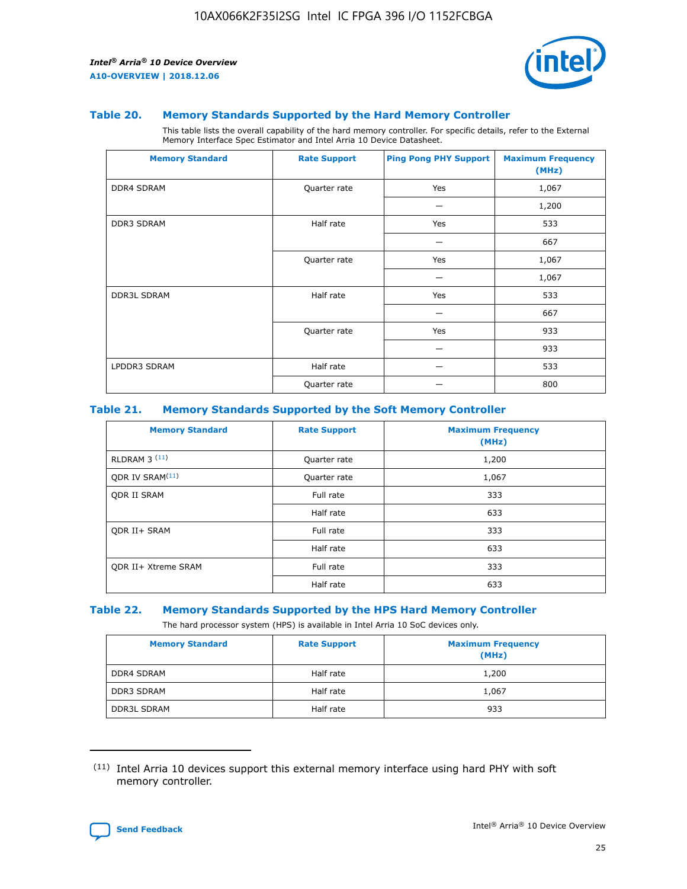

#### **Table 20. Memory Standards Supported by the Hard Memory Controller**

This table lists the overall capability of the hard memory controller. For specific details, refer to the External Memory Interface Spec Estimator and Intel Arria 10 Device Datasheet.

| <b>Memory Standard</b> | <b>Rate Support</b> | <b>Ping Pong PHY Support</b> | <b>Maximum Frequency</b><br>(MHz) |
|------------------------|---------------------|------------------------------|-----------------------------------|
| <b>DDR4 SDRAM</b>      | Quarter rate        | Yes                          | 1,067                             |
|                        |                     |                              | 1,200                             |
| DDR3 SDRAM             | Half rate           | Yes                          | 533                               |
|                        |                     |                              | 667                               |
|                        | Quarter rate        | Yes                          | 1,067                             |
|                        |                     |                              | 1,067                             |
| <b>DDR3L SDRAM</b>     | Half rate           | Yes                          | 533                               |
|                        |                     |                              | 667                               |
|                        | Quarter rate        | Yes                          | 933                               |
|                        |                     |                              | 933                               |
| LPDDR3 SDRAM           | Half rate           |                              | 533                               |
|                        | Quarter rate        |                              | 800                               |

#### **Table 21. Memory Standards Supported by the Soft Memory Controller**

| <b>Memory Standard</b>      | <b>Rate Support</b> | <b>Maximum Frequency</b><br>(MHz) |
|-----------------------------|---------------------|-----------------------------------|
| <b>RLDRAM 3 (11)</b>        | Quarter rate        | 1,200                             |
| ODR IV SRAM <sup>(11)</sup> | Quarter rate        | 1,067                             |
| <b>ODR II SRAM</b>          | Full rate           | 333                               |
|                             | Half rate           | 633                               |
| <b>ODR II+ SRAM</b>         | Full rate           | 333                               |
|                             | Half rate           | 633                               |
| <b>ODR II+ Xtreme SRAM</b>  | Full rate           | 333                               |
|                             | Half rate           | 633                               |

#### **Table 22. Memory Standards Supported by the HPS Hard Memory Controller**

The hard processor system (HPS) is available in Intel Arria 10 SoC devices only.

| <b>Memory Standard</b> | <b>Rate Support</b> | <b>Maximum Frequency</b><br>(MHz) |
|------------------------|---------------------|-----------------------------------|
| <b>DDR4 SDRAM</b>      | Half rate           | 1,200                             |
| <b>DDR3 SDRAM</b>      | Half rate           | 1,067                             |
| <b>DDR3L SDRAM</b>     | Half rate           | 933                               |

<sup>(11)</sup> Intel Arria 10 devices support this external memory interface using hard PHY with soft memory controller.

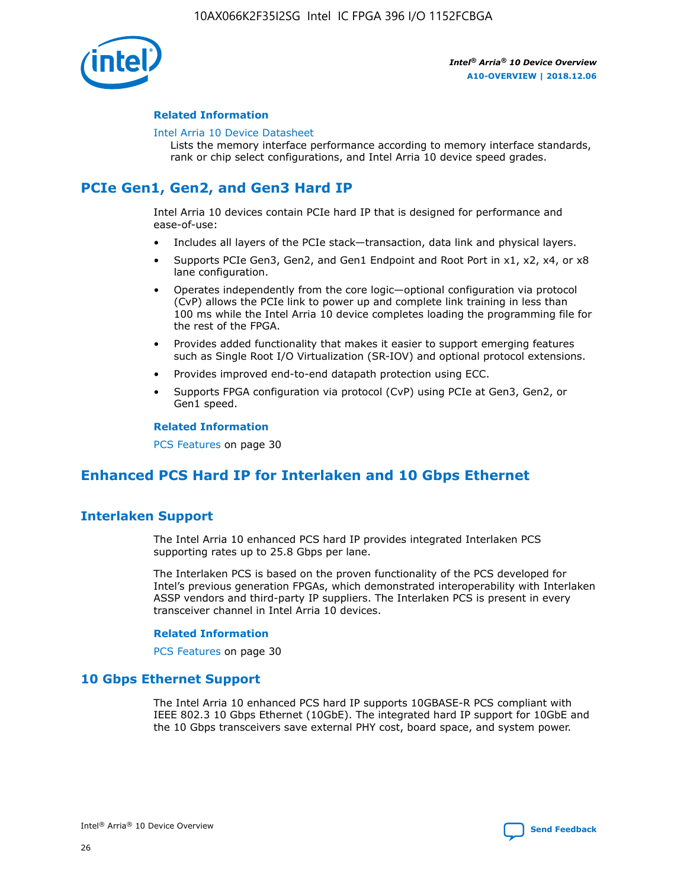

#### **Related Information**

#### [Intel Arria 10 Device Datasheet](https://www.intel.com/content/www/us/en/programmable/documentation/mcn1413182292568.html#mcn1413182153340)

Lists the memory interface performance according to memory interface standards, rank or chip select configurations, and Intel Arria 10 device speed grades.

## **PCIe Gen1, Gen2, and Gen3 Hard IP**

Intel Arria 10 devices contain PCIe hard IP that is designed for performance and ease-of-use:

- Includes all layers of the PCIe stack—transaction, data link and physical layers.
- Supports PCIe Gen3, Gen2, and Gen1 Endpoint and Root Port in x1, x2, x4, or x8 lane configuration.
- Operates independently from the core logic—optional configuration via protocol (CvP) allows the PCIe link to power up and complete link training in less than 100 ms while the Intel Arria 10 device completes loading the programming file for the rest of the FPGA.
- Provides added functionality that makes it easier to support emerging features such as Single Root I/O Virtualization (SR-IOV) and optional protocol extensions.
- Provides improved end-to-end datapath protection using ECC.
- Supports FPGA configuration via protocol (CvP) using PCIe at Gen3, Gen2, or Gen1 speed.

#### **Related Information**

PCS Features on page 30

## **Enhanced PCS Hard IP for Interlaken and 10 Gbps Ethernet**

## **Interlaken Support**

The Intel Arria 10 enhanced PCS hard IP provides integrated Interlaken PCS supporting rates up to 25.8 Gbps per lane.

The Interlaken PCS is based on the proven functionality of the PCS developed for Intel's previous generation FPGAs, which demonstrated interoperability with Interlaken ASSP vendors and third-party IP suppliers. The Interlaken PCS is present in every transceiver channel in Intel Arria 10 devices.

#### **Related Information**

PCS Features on page 30

## **10 Gbps Ethernet Support**

The Intel Arria 10 enhanced PCS hard IP supports 10GBASE-R PCS compliant with IEEE 802.3 10 Gbps Ethernet (10GbE). The integrated hard IP support for 10GbE and the 10 Gbps transceivers save external PHY cost, board space, and system power.

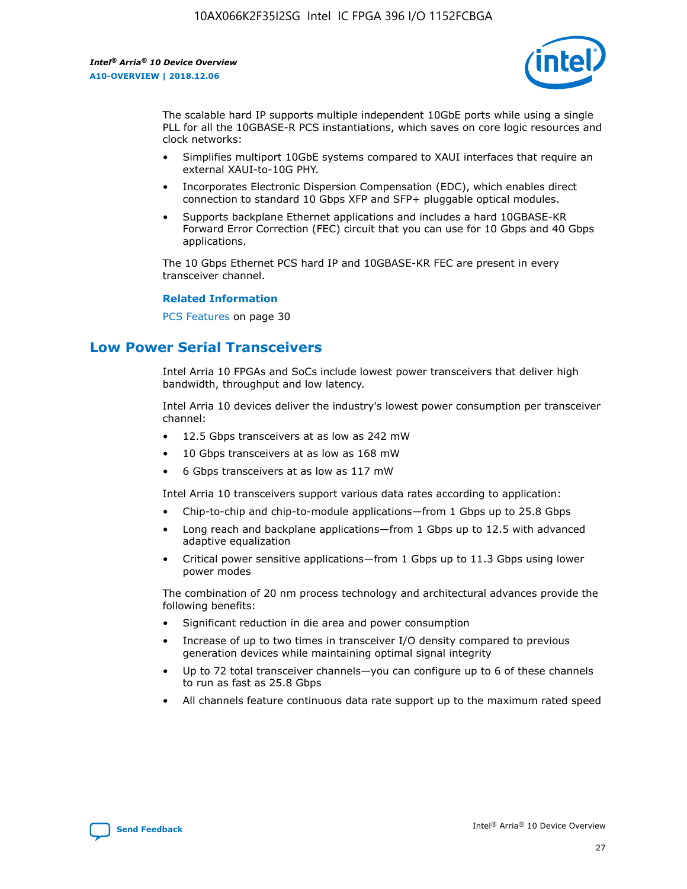

The scalable hard IP supports multiple independent 10GbE ports while using a single PLL for all the 10GBASE-R PCS instantiations, which saves on core logic resources and clock networks:

- Simplifies multiport 10GbE systems compared to XAUI interfaces that require an external XAUI-to-10G PHY.
- Incorporates Electronic Dispersion Compensation (EDC), which enables direct connection to standard 10 Gbps XFP and SFP+ pluggable optical modules.
- Supports backplane Ethernet applications and includes a hard 10GBASE-KR Forward Error Correction (FEC) circuit that you can use for 10 Gbps and 40 Gbps applications.

The 10 Gbps Ethernet PCS hard IP and 10GBASE-KR FEC are present in every transceiver channel.

#### **Related Information**

PCS Features on page 30

## **Low Power Serial Transceivers**

Intel Arria 10 FPGAs and SoCs include lowest power transceivers that deliver high bandwidth, throughput and low latency.

Intel Arria 10 devices deliver the industry's lowest power consumption per transceiver channel:

- 12.5 Gbps transceivers at as low as 242 mW
- 10 Gbps transceivers at as low as 168 mW
- 6 Gbps transceivers at as low as 117 mW

Intel Arria 10 transceivers support various data rates according to application:

- Chip-to-chip and chip-to-module applications—from 1 Gbps up to 25.8 Gbps
- Long reach and backplane applications—from 1 Gbps up to 12.5 with advanced adaptive equalization
- Critical power sensitive applications—from 1 Gbps up to 11.3 Gbps using lower power modes

The combination of 20 nm process technology and architectural advances provide the following benefits:

- Significant reduction in die area and power consumption
- Increase of up to two times in transceiver I/O density compared to previous generation devices while maintaining optimal signal integrity
- Up to 72 total transceiver channels—you can configure up to 6 of these channels to run as fast as 25.8 Gbps
- All channels feature continuous data rate support up to the maximum rated speed

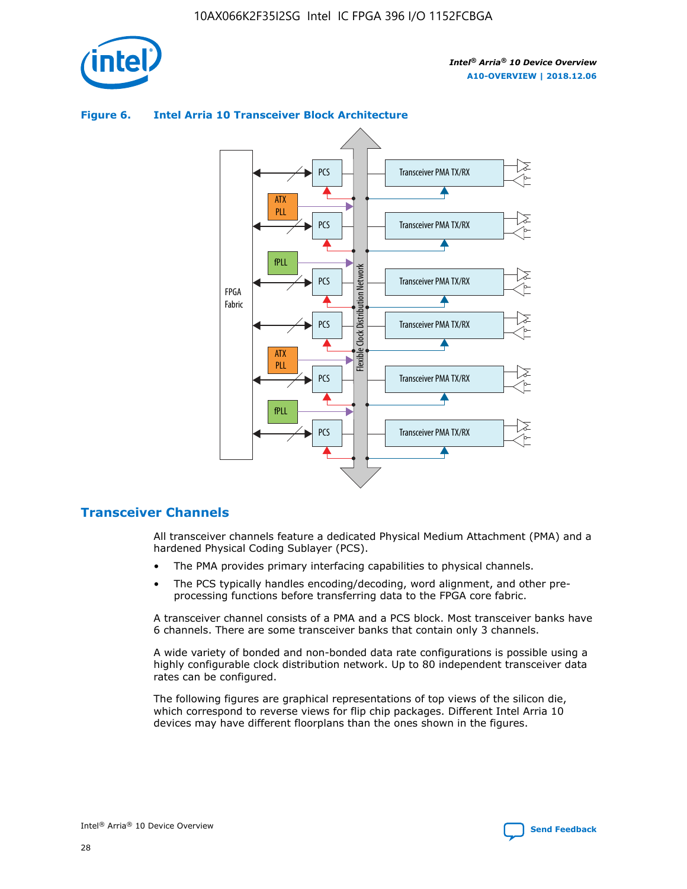



## **Figure 6. Intel Arria 10 Transceiver Block Architecture**

## **Transceiver Channels**

All transceiver channels feature a dedicated Physical Medium Attachment (PMA) and a hardened Physical Coding Sublayer (PCS).

- The PMA provides primary interfacing capabilities to physical channels.
- The PCS typically handles encoding/decoding, word alignment, and other preprocessing functions before transferring data to the FPGA core fabric.

A transceiver channel consists of a PMA and a PCS block. Most transceiver banks have 6 channels. There are some transceiver banks that contain only 3 channels.

A wide variety of bonded and non-bonded data rate configurations is possible using a highly configurable clock distribution network. Up to 80 independent transceiver data rates can be configured.

The following figures are graphical representations of top views of the silicon die, which correspond to reverse views for flip chip packages. Different Intel Arria 10 devices may have different floorplans than the ones shown in the figures.

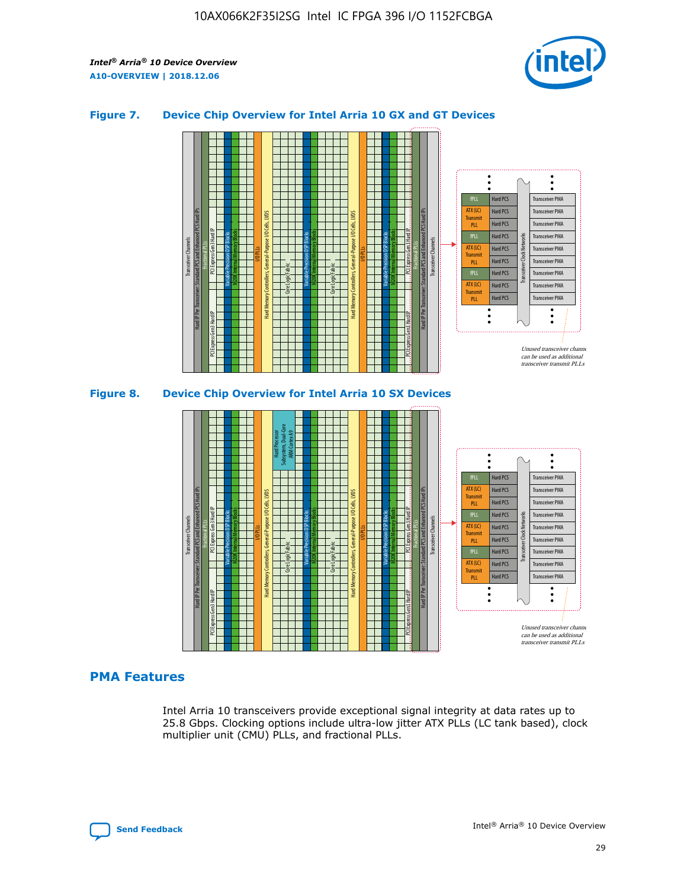

## **Figure 7. Device Chip Overview for Intel Arria 10 GX and GT Devices**



M20K Internal Memory Blocks Core Logic Fabric Transceiver Channels Hard IP Per Transceiver: Standard PCS and Enhanced PCS Hard IPs PCI Express Gen3 Hard IP Fractional PLLs M20K Internal Memory Blocks PCI Express Gen3 Hard IP Variable Precision DSP Blocks I/O PLLs Hard Memory Controllers, General-Purpose I/O Cells, LVDS Hard Processor Subsystem, Dual-Core ARM Cortex A9 M20K Internal Memory Blocks Variable Precision DSP Blocks M20K Internal Memory Blocks Core Logic Fabric I/O PLLs Hard Memory Controllers, General-Purpose I/O Cells, LVDS M20K Internal Memory Blocks Variable Precision DSP Blocks M20K Internal Memory Blocks Transceiver Channels Hard IP Per Transceiver: Standard PCS and Enhanced PCS Hard IPs PCI Express Gen3 Hard IP Fractional PLLs PCI Express Gen3 Hard IP  $\ddot{\cdot}$ Hard PCS Transceiver PMA fPLL ATX (LC) Hard PCS Transceiver PMA **Transmit** Hard PCS Transceiver PMA PLL fPLL Hard PCS Transceiver PMA Transceiver Clock Networks ATX (LC) Hard PCS Transceiver PMA Transmi Hard PCS Transceiver PMA PLL fPLL Hard PCS Transceiver PMA Transceiver PMA Hard PCS ATX (LC) **Transmit** Hard PCS Transceiver PMA PLL Unused transceiver chann can be used as additional transceiver transmit PLLs

#### **PMA Features**

Intel Arria 10 transceivers provide exceptional signal integrity at data rates up to 25.8 Gbps. Clocking options include ultra-low jitter ATX PLLs (LC tank based), clock multiplier unit (CMU) PLLs, and fractional PLLs.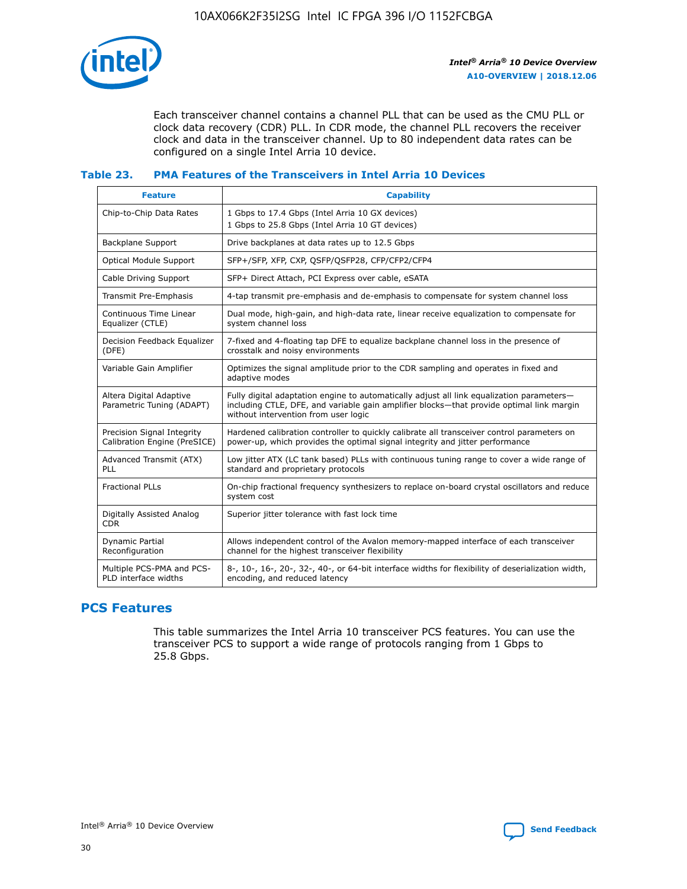

Each transceiver channel contains a channel PLL that can be used as the CMU PLL or clock data recovery (CDR) PLL. In CDR mode, the channel PLL recovers the receiver clock and data in the transceiver channel. Up to 80 independent data rates can be configured on a single Intel Arria 10 device.

## **Table 23. PMA Features of the Transceivers in Intel Arria 10 Devices**

| <b>Feature</b>                                             | <b>Capability</b>                                                                                                                                                                                                             |
|------------------------------------------------------------|-------------------------------------------------------------------------------------------------------------------------------------------------------------------------------------------------------------------------------|
| Chip-to-Chip Data Rates                                    | 1 Gbps to 17.4 Gbps (Intel Arria 10 GX devices)<br>1 Gbps to 25.8 Gbps (Intel Arria 10 GT devices)                                                                                                                            |
| <b>Backplane Support</b>                                   | Drive backplanes at data rates up to 12.5 Gbps                                                                                                                                                                                |
| <b>Optical Module Support</b>                              | SFP+/SFP, XFP, CXP, QSFP/QSFP28, CFP/CFP2/CFP4                                                                                                                                                                                |
| Cable Driving Support                                      | SFP+ Direct Attach, PCI Express over cable, eSATA                                                                                                                                                                             |
| Transmit Pre-Emphasis                                      | 4-tap transmit pre-emphasis and de-emphasis to compensate for system channel loss                                                                                                                                             |
| Continuous Time Linear<br>Equalizer (CTLE)                 | Dual mode, high-gain, and high-data rate, linear receive equalization to compensate for<br>system channel loss                                                                                                                |
| Decision Feedback Equalizer<br>(DFE)                       | 7-fixed and 4-floating tap DFE to equalize backplane channel loss in the presence of<br>crosstalk and noisy environments                                                                                                      |
| Variable Gain Amplifier                                    | Optimizes the signal amplitude prior to the CDR sampling and operates in fixed and<br>adaptive modes                                                                                                                          |
| Altera Digital Adaptive<br>Parametric Tuning (ADAPT)       | Fully digital adaptation engine to automatically adjust all link equalization parameters-<br>including CTLE, DFE, and variable gain amplifier blocks—that provide optimal link margin<br>without intervention from user logic |
| Precision Signal Integrity<br>Calibration Engine (PreSICE) | Hardened calibration controller to quickly calibrate all transceiver control parameters on<br>power-up, which provides the optimal signal integrity and jitter performance                                                    |
| Advanced Transmit (ATX)<br><b>PLL</b>                      | Low jitter ATX (LC tank based) PLLs with continuous tuning range to cover a wide range of<br>standard and proprietary protocols                                                                                               |
| <b>Fractional PLLs</b>                                     | On-chip fractional frequency synthesizers to replace on-board crystal oscillators and reduce<br>system cost                                                                                                                   |
| Digitally Assisted Analog<br><b>CDR</b>                    | Superior jitter tolerance with fast lock time                                                                                                                                                                                 |
| Dynamic Partial<br>Reconfiguration                         | Allows independent control of the Avalon memory-mapped interface of each transceiver<br>channel for the highest transceiver flexibility                                                                                       |
| Multiple PCS-PMA and PCS-<br>PLD interface widths          | 8-, 10-, 16-, 20-, 32-, 40-, or 64-bit interface widths for flexibility of deserialization width,<br>encoding, and reduced latency                                                                                            |

## **PCS Features**

This table summarizes the Intel Arria 10 transceiver PCS features. You can use the transceiver PCS to support a wide range of protocols ranging from 1 Gbps to 25.8 Gbps.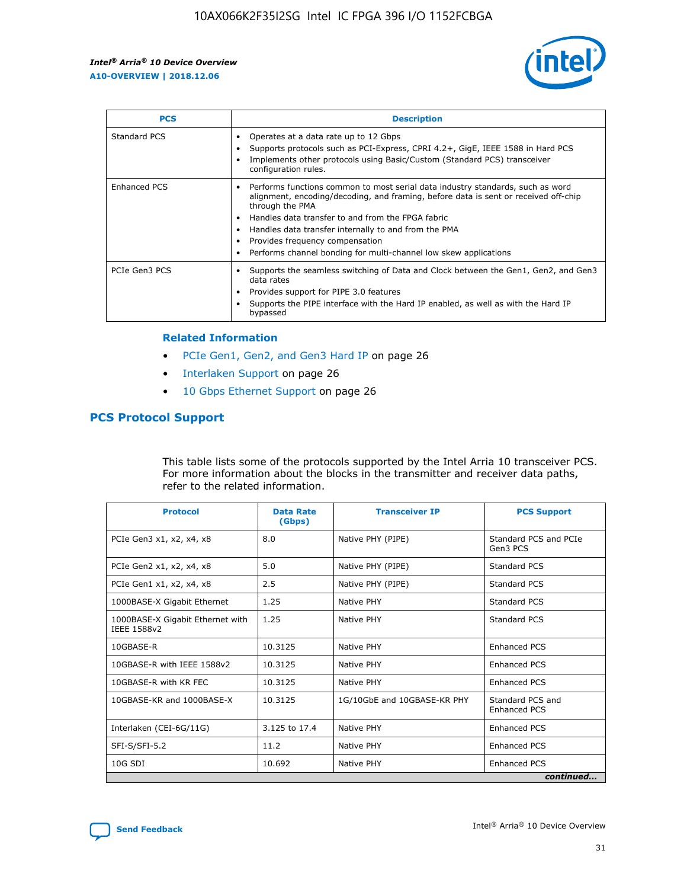

| <b>PCS</b>          | <b>Description</b>                                                                                                                                                                                                                                                                                                                                                                                             |
|---------------------|----------------------------------------------------------------------------------------------------------------------------------------------------------------------------------------------------------------------------------------------------------------------------------------------------------------------------------------------------------------------------------------------------------------|
| Standard PCS        | Operates at a data rate up to 12 Gbps<br>Supports protocols such as PCI-Express, CPRI 4.2+, GigE, IEEE 1588 in Hard PCS<br>Implements other protocols using Basic/Custom (Standard PCS) transceiver<br>configuration rules.                                                                                                                                                                                    |
| <b>Enhanced PCS</b> | Performs functions common to most serial data industry standards, such as word<br>alignment, encoding/decoding, and framing, before data is sent or received off-chip<br>through the PMA<br>• Handles data transfer to and from the FPGA fabric<br>Handles data transfer internally to and from the PMA<br>Provides frequency compensation<br>Performs channel bonding for multi-channel low skew applications |
| PCIe Gen3 PCS       | Supports the seamless switching of Data and Clock between the Gen1, Gen2, and Gen3<br>data rates<br>Provides support for PIPE 3.0 features<br>Supports the PIPE interface with the Hard IP enabled, as well as with the Hard IP<br>bypassed                                                                                                                                                                    |

#### **Related Information**

- PCIe Gen1, Gen2, and Gen3 Hard IP on page 26
- Interlaken Support on page 26
- 10 Gbps Ethernet Support on page 26

## **PCS Protocol Support**

This table lists some of the protocols supported by the Intel Arria 10 transceiver PCS. For more information about the blocks in the transmitter and receiver data paths, refer to the related information.

| <b>Protocol</b>                                 | <b>Data Rate</b><br>(Gbps) | <b>Transceiver IP</b>       | <b>PCS Support</b>                      |
|-------------------------------------------------|----------------------------|-----------------------------|-----------------------------------------|
| PCIe Gen3 x1, x2, x4, x8                        | 8.0                        | Native PHY (PIPE)           | Standard PCS and PCIe<br>Gen3 PCS       |
| PCIe Gen2 x1, x2, x4, x8                        | 5.0                        | Native PHY (PIPE)           | <b>Standard PCS</b>                     |
| PCIe Gen1 x1, x2, x4, x8                        | 2.5                        | Native PHY (PIPE)           | Standard PCS                            |
| 1000BASE-X Gigabit Ethernet                     | 1.25                       | Native PHY                  | <b>Standard PCS</b>                     |
| 1000BASE-X Gigabit Ethernet with<br>IEEE 1588v2 | 1.25                       | Native PHY                  | Standard PCS                            |
| 10GBASE-R                                       | 10.3125                    | Native PHY                  | <b>Enhanced PCS</b>                     |
| 10GBASE-R with IEEE 1588v2                      | 10.3125                    | Native PHY                  | <b>Enhanced PCS</b>                     |
| 10GBASE-R with KR FEC                           | 10.3125                    | Native PHY                  | <b>Enhanced PCS</b>                     |
| 10GBASE-KR and 1000BASE-X                       | 10.3125                    | 1G/10GbE and 10GBASE-KR PHY | Standard PCS and<br><b>Enhanced PCS</b> |
| Interlaken (CEI-6G/11G)                         | 3.125 to 17.4              | Native PHY                  | <b>Enhanced PCS</b>                     |
| SFI-S/SFI-5.2                                   | 11.2                       | Native PHY                  | <b>Enhanced PCS</b>                     |
| $10G$ SDI                                       | 10.692                     | Native PHY                  | <b>Enhanced PCS</b>                     |
|                                                 |                            |                             | continued                               |



**[Send Feedback](mailto:FPGAtechdocfeedback@intel.com?subject=Feedback%20on%20Intel%20Arria%2010%20Device%20Overview%20(A10-OVERVIEW%202018.12.06)&body=We%20appreciate%20your%20feedback.%20In%20your%20comments,%20also%20specify%20the%20page%20number%20or%20paragraph.%20Thank%20you.) Intel®** Arria<sup>®</sup> 10 Device Overview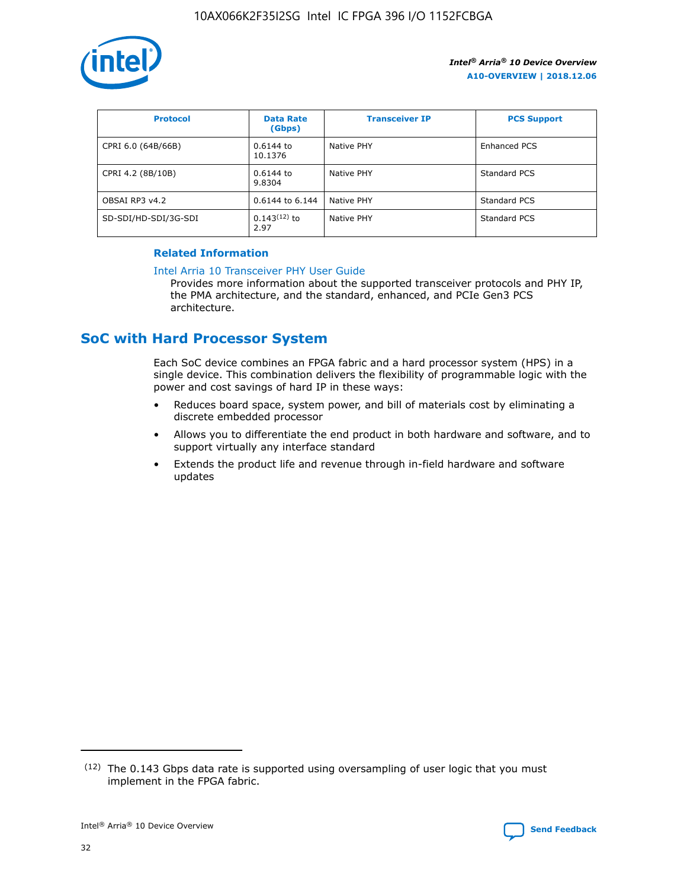

| <b>Protocol</b>      | <b>Data Rate</b><br>(Gbps) | <b>Transceiver IP</b> | <b>PCS Support</b> |
|----------------------|----------------------------|-----------------------|--------------------|
| CPRI 6.0 (64B/66B)   | 0.6144 to<br>10.1376       | Native PHY            | Enhanced PCS       |
| CPRI 4.2 (8B/10B)    | $0.6144$ to<br>9.8304      | Native PHY            | Standard PCS       |
| OBSAI RP3 v4.2       | 0.6144 to 6.144            | Native PHY            | Standard PCS       |
| SD-SDI/HD-SDI/3G-SDI | $0.143(12)$ to<br>2.97     | Native PHY            | Standard PCS       |

## **Related Information**

#### [Intel Arria 10 Transceiver PHY User Guide](https://www.intel.com/content/www/us/en/programmable/documentation/nik1398707230472.html#nik1398707091164)

Provides more information about the supported transceiver protocols and PHY IP, the PMA architecture, and the standard, enhanced, and PCIe Gen3 PCS architecture.

## **SoC with Hard Processor System**

Each SoC device combines an FPGA fabric and a hard processor system (HPS) in a single device. This combination delivers the flexibility of programmable logic with the power and cost savings of hard IP in these ways:

- Reduces board space, system power, and bill of materials cost by eliminating a discrete embedded processor
- Allows you to differentiate the end product in both hardware and software, and to support virtually any interface standard
- Extends the product life and revenue through in-field hardware and software updates

 $(12)$  The 0.143 Gbps data rate is supported using oversampling of user logic that you must implement in the FPGA fabric.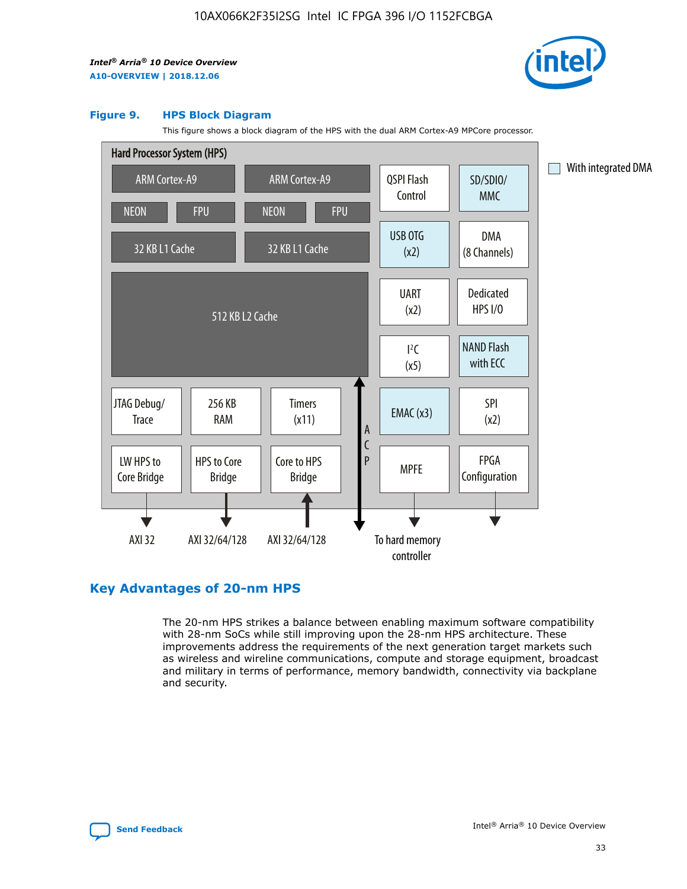

#### **Figure 9. HPS Block Diagram**

This figure shows a block diagram of the HPS with the dual ARM Cortex-A9 MPCore processor.



## **Key Advantages of 20-nm HPS**

The 20-nm HPS strikes a balance between enabling maximum software compatibility with 28-nm SoCs while still improving upon the 28-nm HPS architecture. These improvements address the requirements of the next generation target markets such as wireless and wireline communications, compute and storage equipment, broadcast and military in terms of performance, memory bandwidth, connectivity via backplane and security.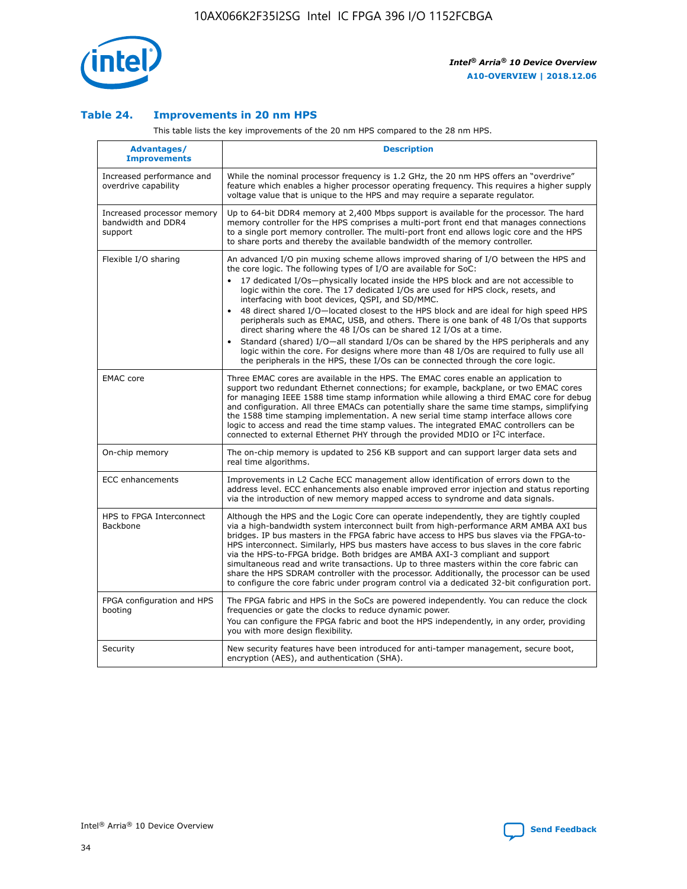

## **Table 24. Improvements in 20 nm HPS**

This table lists the key improvements of the 20 nm HPS compared to the 28 nm HPS.

| Advantages/<br><b>Improvements</b>                          | <b>Description</b>                                                                                                                                                                                                                                                                                                                                                                                                                                                                                                                                                                                                                                                                                                                                                                                                                                                                                                      |
|-------------------------------------------------------------|-------------------------------------------------------------------------------------------------------------------------------------------------------------------------------------------------------------------------------------------------------------------------------------------------------------------------------------------------------------------------------------------------------------------------------------------------------------------------------------------------------------------------------------------------------------------------------------------------------------------------------------------------------------------------------------------------------------------------------------------------------------------------------------------------------------------------------------------------------------------------------------------------------------------------|
| Increased performance and<br>overdrive capability           | While the nominal processor frequency is 1.2 GHz, the 20 nm HPS offers an "overdrive"<br>feature which enables a higher processor operating frequency. This requires a higher supply<br>voltage value that is unique to the HPS and may require a separate regulator.                                                                                                                                                                                                                                                                                                                                                                                                                                                                                                                                                                                                                                                   |
| Increased processor memory<br>bandwidth and DDR4<br>support | Up to 64-bit DDR4 memory at 2,400 Mbps support is available for the processor. The hard<br>memory controller for the HPS comprises a multi-port front end that manages connections<br>to a single port memory controller. The multi-port front end allows logic core and the HPS<br>to share ports and thereby the available bandwidth of the memory controller.                                                                                                                                                                                                                                                                                                                                                                                                                                                                                                                                                        |
| Flexible I/O sharing                                        | An advanced I/O pin muxing scheme allows improved sharing of I/O between the HPS and<br>the core logic. The following types of I/O are available for SoC:<br>17 dedicated I/Os-physically located inside the HPS block and are not accessible to<br>logic within the core. The 17 dedicated I/Os are used for HPS clock, resets, and<br>interfacing with boot devices, QSPI, and SD/MMC.<br>48 direct shared I/O-located closest to the HPS block and are ideal for high speed HPS<br>peripherals such as EMAC, USB, and others. There is one bank of 48 I/Os that supports<br>direct sharing where the 48 I/Os can be shared 12 I/Os at a time.<br>Standard (shared) I/O-all standard I/Os can be shared by the HPS peripherals and any<br>logic within the core. For designs where more than 48 I/Os are reguired to fully use all<br>the peripherals in the HPS, these I/Os can be connected through the core logic. |
| <b>EMAC</b> core                                            | Three EMAC cores are available in the HPS. The EMAC cores enable an application to<br>support two redundant Ethernet connections; for example, backplane, or two EMAC cores<br>for managing IEEE 1588 time stamp information while allowing a third EMAC core for debug<br>and configuration. All three EMACs can potentially share the same time stamps, simplifying<br>the 1588 time stamping implementation. A new serial time stamp interface allows core<br>logic to access and read the time stamp values. The integrated EMAC controllers can be<br>connected to external Ethernet PHY through the provided MDIO or I <sup>2</sup> C interface.                                                                                                                                                                                                                                                                  |
| On-chip memory                                              | The on-chip memory is updated to 256 KB support and can support larger data sets and<br>real time algorithms.                                                                                                                                                                                                                                                                                                                                                                                                                                                                                                                                                                                                                                                                                                                                                                                                           |
| <b>ECC</b> enhancements                                     | Improvements in L2 Cache ECC management allow identification of errors down to the<br>address level. ECC enhancements also enable improved error injection and status reporting<br>via the introduction of new memory mapped access to syndrome and data signals.                                                                                                                                                                                                                                                                                                                                                                                                                                                                                                                                                                                                                                                       |
| HPS to FPGA Interconnect<br>Backbone                        | Although the HPS and the Logic Core can operate independently, they are tightly coupled<br>via a high-bandwidth system interconnect built from high-performance ARM AMBA AXI bus<br>bridges. IP bus masters in the FPGA fabric have access to HPS bus slaves via the FPGA-to-<br>HPS interconnect. Similarly, HPS bus masters have access to bus slaves in the core fabric<br>via the HPS-to-FPGA bridge. Both bridges are AMBA AXI-3 compliant and support<br>simultaneous read and write transactions. Up to three masters within the core fabric can<br>share the HPS SDRAM controller with the processor. Additionally, the processor can be used<br>to configure the core fabric under program control via a dedicated 32-bit configuration port.                                                                                                                                                                  |
| FPGA configuration and HPS<br>booting                       | The FPGA fabric and HPS in the SoCs are powered independently. You can reduce the clock<br>frequencies or gate the clocks to reduce dynamic power.<br>You can configure the FPGA fabric and boot the HPS independently, in any order, providing<br>you with more design flexibility.                                                                                                                                                                                                                                                                                                                                                                                                                                                                                                                                                                                                                                    |
| Security                                                    | New security features have been introduced for anti-tamper management, secure boot,<br>encryption (AES), and authentication (SHA).                                                                                                                                                                                                                                                                                                                                                                                                                                                                                                                                                                                                                                                                                                                                                                                      |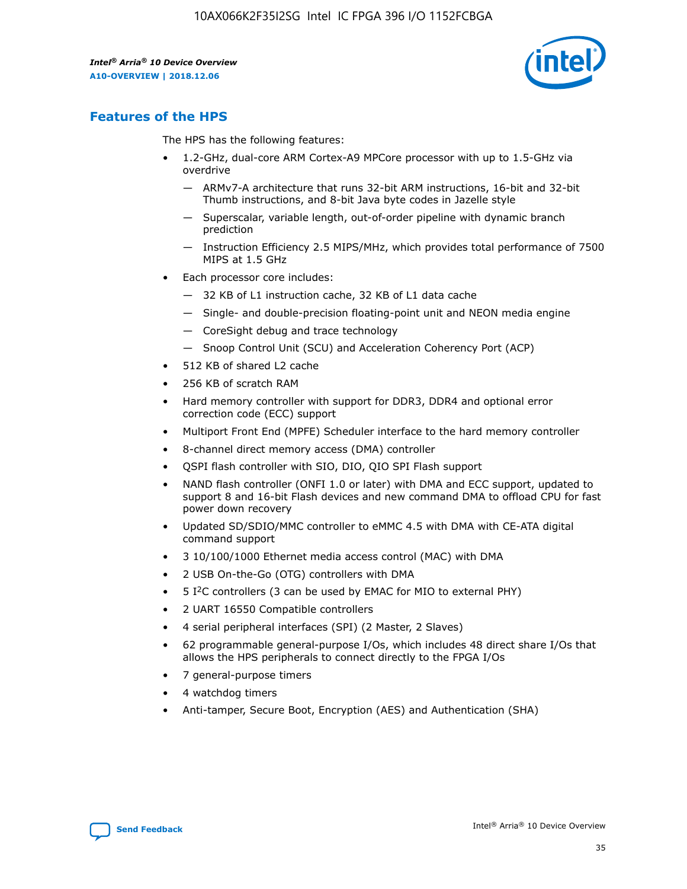

## **Features of the HPS**

The HPS has the following features:

- 1.2-GHz, dual-core ARM Cortex-A9 MPCore processor with up to 1.5-GHz via overdrive
	- ARMv7-A architecture that runs 32-bit ARM instructions, 16-bit and 32-bit Thumb instructions, and 8-bit Java byte codes in Jazelle style
	- Superscalar, variable length, out-of-order pipeline with dynamic branch prediction
	- Instruction Efficiency 2.5 MIPS/MHz, which provides total performance of 7500 MIPS at 1.5 GHz
- Each processor core includes:
	- 32 KB of L1 instruction cache, 32 KB of L1 data cache
	- Single- and double-precision floating-point unit and NEON media engine
	- CoreSight debug and trace technology
	- Snoop Control Unit (SCU) and Acceleration Coherency Port (ACP)
- 512 KB of shared L2 cache
- 256 KB of scratch RAM
- Hard memory controller with support for DDR3, DDR4 and optional error correction code (ECC) support
- Multiport Front End (MPFE) Scheduler interface to the hard memory controller
- 8-channel direct memory access (DMA) controller
- QSPI flash controller with SIO, DIO, QIO SPI Flash support
- NAND flash controller (ONFI 1.0 or later) with DMA and ECC support, updated to support 8 and 16-bit Flash devices and new command DMA to offload CPU for fast power down recovery
- Updated SD/SDIO/MMC controller to eMMC 4.5 with DMA with CE-ATA digital command support
- 3 10/100/1000 Ethernet media access control (MAC) with DMA
- 2 USB On-the-Go (OTG) controllers with DMA
- $\bullet$  5 I<sup>2</sup>C controllers (3 can be used by EMAC for MIO to external PHY)
- 2 UART 16550 Compatible controllers
- 4 serial peripheral interfaces (SPI) (2 Master, 2 Slaves)
- 62 programmable general-purpose I/Os, which includes 48 direct share I/Os that allows the HPS peripherals to connect directly to the FPGA I/Os
- 7 general-purpose timers
- 4 watchdog timers
- Anti-tamper, Secure Boot, Encryption (AES) and Authentication (SHA)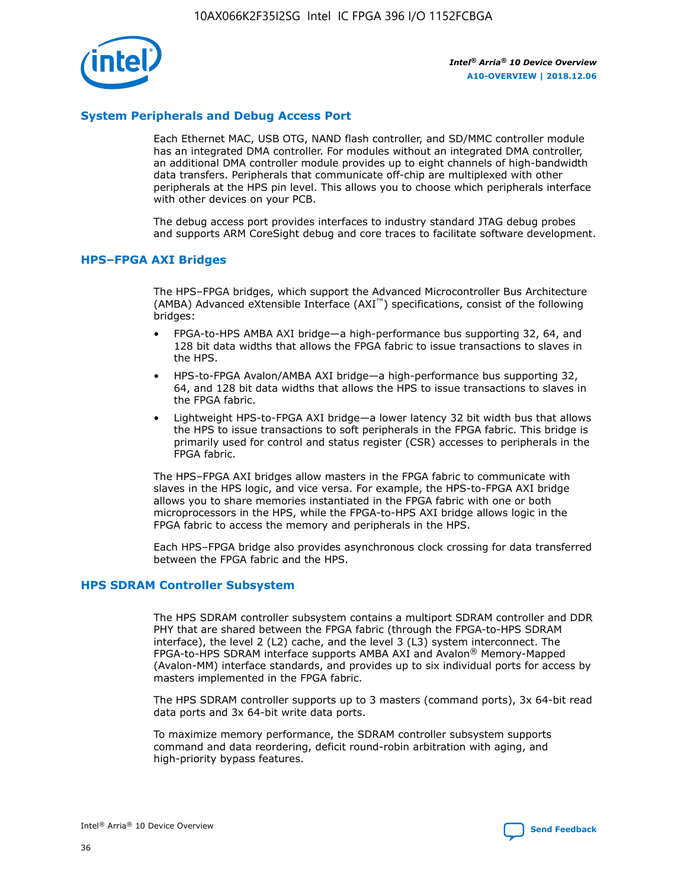

## **System Peripherals and Debug Access Port**

Each Ethernet MAC, USB OTG, NAND flash controller, and SD/MMC controller module has an integrated DMA controller. For modules without an integrated DMA controller, an additional DMA controller module provides up to eight channels of high-bandwidth data transfers. Peripherals that communicate off-chip are multiplexed with other peripherals at the HPS pin level. This allows you to choose which peripherals interface with other devices on your PCB.

The debug access port provides interfaces to industry standard JTAG debug probes and supports ARM CoreSight debug and core traces to facilitate software development.

## **HPS–FPGA AXI Bridges**

The HPS–FPGA bridges, which support the Advanced Microcontroller Bus Architecture (AMBA) Advanced eXtensible Interface (AXI™) specifications, consist of the following bridges:

- FPGA-to-HPS AMBA AXI bridge—a high-performance bus supporting 32, 64, and 128 bit data widths that allows the FPGA fabric to issue transactions to slaves in the HPS.
- HPS-to-FPGA Avalon/AMBA AXI bridge—a high-performance bus supporting 32, 64, and 128 bit data widths that allows the HPS to issue transactions to slaves in the FPGA fabric.
- Lightweight HPS-to-FPGA AXI bridge—a lower latency 32 bit width bus that allows the HPS to issue transactions to soft peripherals in the FPGA fabric. This bridge is primarily used for control and status register (CSR) accesses to peripherals in the FPGA fabric.

The HPS–FPGA AXI bridges allow masters in the FPGA fabric to communicate with slaves in the HPS logic, and vice versa. For example, the HPS-to-FPGA AXI bridge allows you to share memories instantiated in the FPGA fabric with one or both microprocessors in the HPS, while the FPGA-to-HPS AXI bridge allows logic in the FPGA fabric to access the memory and peripherals in the HPS.

Each HPS–FPGA bridge also provides asynchronous clock crossing for data transferred between the FPGA fabric and the HPS.

#### **HPS SDRAM Controller Subsystem**

The HPS SDRAM controller subsystem contains a multiport SDRAM controller and DDR PHY that are shared between the FPGA fabric (through the FPGA-to-HPS SDRAM interface), the level 2 (L2) cache, and the level 3 (L3) system interconnect. The FPGA-to-HPS SDRAM interface supports AMBA AXI and Avalon® Memory-Mapped (Avalon-MM) interface standards, and provides up to six individual ports for access by masters implemented in the FPGA fabric.

The HPS SDRAM controller supports up to 3 masters (command ports), 3x 64-bit read data ports and 3x 64-bit write data ports.

To maximize memory performance, the SDRAM controller subsystem supports command and data reordering, deficit round-robin arbitration with aging, and high-priority bypass features.

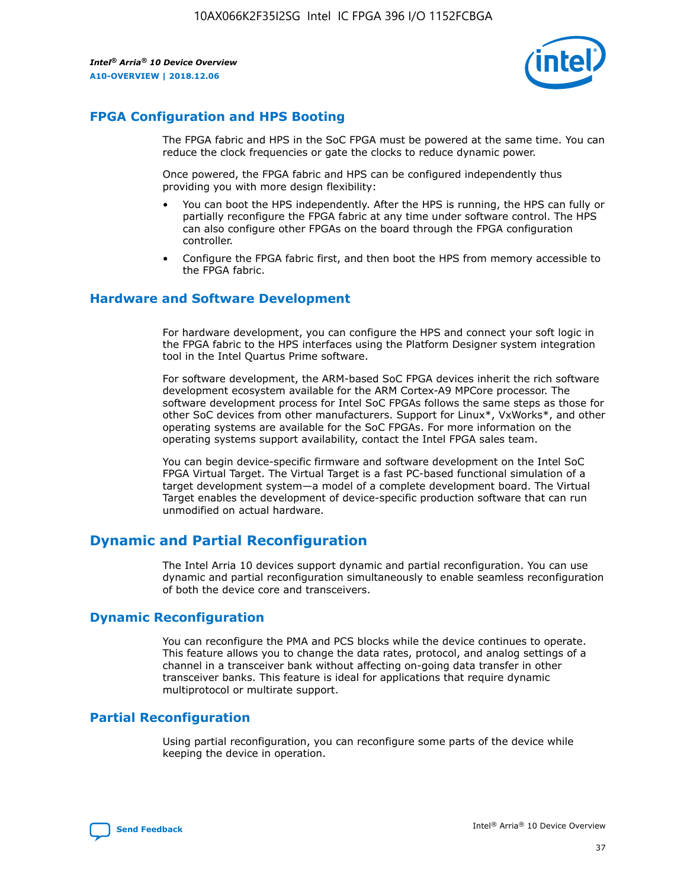

## **FPGA Configuration and HPS Booting**

The FPGA fabric and HPS in the SoC FPGA must be powered at the same time. You can reduce the clock frequencies or gate the clocks to reduce dynamic power.

Once powered, the FPGA fabric and HPS can be configured independently thus providing you with more design flexibility:

- You can boot the HPS independently. After the HPS is running, the HPS can fully or partially reconfigure the FPGA fabric at any time under software control. The HPS can also configure other FPGAs on the board through the FPGA configuration controller.
- Configure the FPGA fabric first, and then boot the HPS from memory accessible to the FPGA fabric.

## **Hardware and Software Development**

For hardware development, you can configure the HPS and connect your soft logic in the FPGA fabric to the HPS interfaces using the Platform Designer system integration tool in the Intel Quartus Prime software.

For software development, the ARM-based SoC FPGA devices inherit the rich software development ecosystem available for the ARM Cortex-A9 MPCore processor. The software development process for Intel SoC FPGAs follows the same steps as those for other SoC devices from other manufacturers. Support for Linux\*, VxWorks\*, and other operating systems are available for the SoC FPGAs. For more information on the operating systems support availability, contact the Intel FPGA sales team.

You can begin device-specific firmware and software development on the Intel SoC FPGA Virtual Target. The Virtual Target is a fast PC-based functional simulation of a target development system—a model of a complete development board. The Virtual Target enables the development of device-specific production software that can run unmodified on actual hardware.

## **Dynamic and Partial Reconfiguration**

The Intel Arria 10 devices support dynamic and partial reconfiguration. You can use dynamic and partial reconfiguration simultaneously to enable seamless reconfiguration of both the device core and transceivers.

## **Dynamic Reconfiguration**

You can reconfigure the PMA and PCS blocks while the device continues to operate. This feature allows you to change the data rates, protocol, and analog settings of a channel in a transceiver bank without affecting on-going data transfer in other transceiver banks. This feature is ideal for applications that require dynamic multiprotocol or multirate support.

## **Partial Reconfiguration**

Using partial reconfiguration, you can reconfigure some parts of the device while keeping the device in operation.

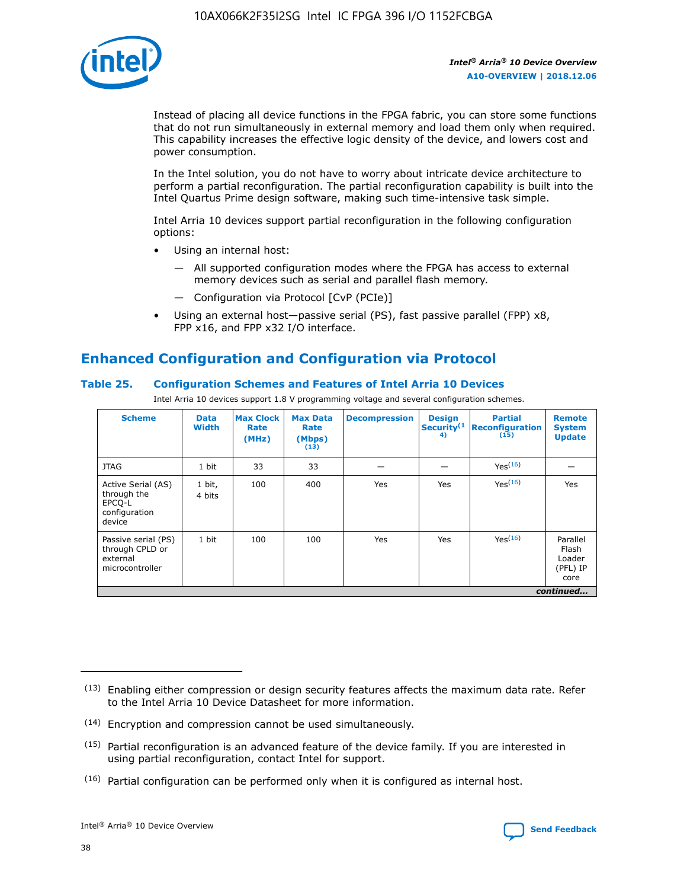

Instead of placing all device functions in the FPGA fabric, you can store some functions that do not run simultaneously in external memory and load them only when required. This capability increases the effective logic density of the device, and lowers cost and power consumption.

In the Intel solution, you do not have to worry about intricate device architecture to perform a partial reconfiguration. The partial reconfiguration capability is built into the Intel Quartus Prime design software, making such time-intensive task simple.

Intel Arria 10 devices support partial reconfiguration in the following configuration options:

- Using an internal host:
	- All supported configuration modes where the FPGA has access to external memory devices such as serial and parallel flash memory.
	- Configuration via Protocol [CvP (PCIe)]
- Using an external host—passive serial (PS), fast passive parallel (FPP) x8, FPP x16, and FPP x32 I/O interface.

# **Enhanced Configuration and Configuration via Protocol**

## **Table 25. Configuration Schemes and Features of Intel Arria 10 Devices**

Intel Arria 10 devices support 1.8 V programming voltage and several configuration schemes.

| <b>Scheme</b>                                                          | <b>Data</b><br><b>Width</b> | <b>Max Clock</b><br>Rate<br>(MHz) | <b>Max Data</b><br>Rate<br>(Mbps)<br>(13) | <b>Decompression</b> | <b>Design</b><br>Security <sup>(1</sup><br>4) | <b>Partial</b><br>Reconfiguration<br>(15) | <b>Remote</b><br><b>System</b><br><b>Update</b> |
|------------------------------------------------------------------------|-----------------------------|-----------------------------------|-------------------------------------------|----------------------|-----------------------------------------------|-------------------------------------------|-------------------------------------------------|
| <b>JTAG</b>                                                            | 1 bit                       | 33                                | 33                                        |                      |                                               | Yes(16)                                   |                                                 |
| Active Serial (AS)<br>through the<br>EPCO-L<br>configuration<br>device | 1 bit,<br>4 bits            | 100                               | 400                                       | Yes                  | Yes                                           | Yes(16)                                   | Yes                                             |
| Passive serial (PS)<br>through CPLD or<br>external<br>microcontroller  | 1 bit                       | 100                               | 100                                       | Yes                  | Yes                                           | Yes <sup>(16)</sup>                       | Parallel<br>Flash<br>Loader<br>(PFL) IP<br>core |
|                                                                        |                             |                                   |                                           |                      |                                               |                                           | continued                                       |

<sup>(13)</sup> Enabling either compression or design security features affects the maximum data rate. Refer to the Intel Arria 10 Device Datasheet for more information.

<sup>(14)</sup> Encryption and compression cannot be used simultaneously.

 $(15)$  Partial reconfiguration is an advanced feature of the device family. If you are interested in using partial reconfiguration, contact Intel for support.

 $(16)$  Partial configuration can be performed only when it is configured as internal host.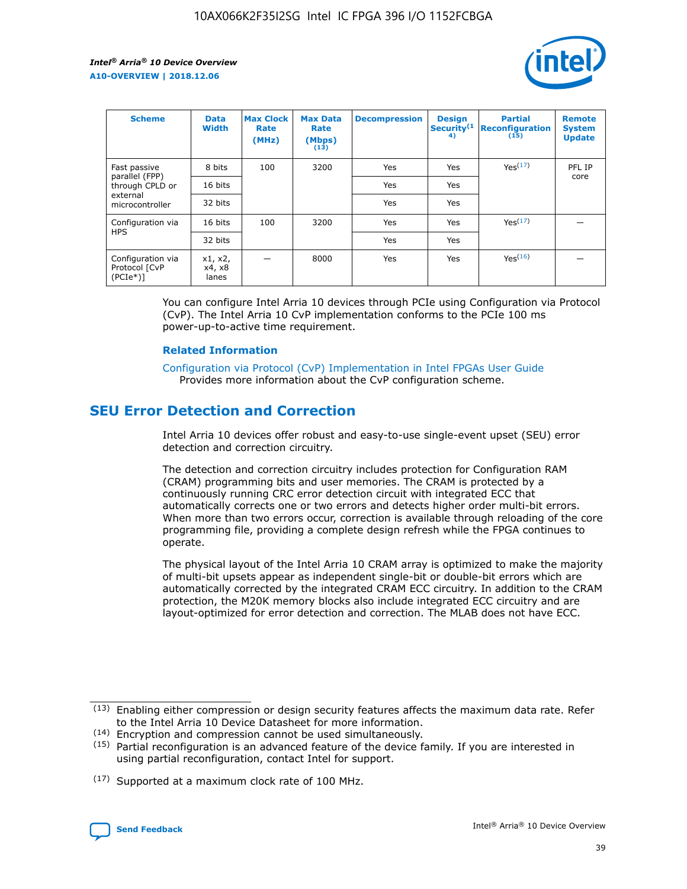

| <b>Scheme</b>                                   | <b>Data</b><br><b>Width</b> | <b>Max Clock</b><br>Rate<br>(MHz) | <b>Max Data</b><br>Rate<br>(Mbps)<br>(13) | <b>Decompression</b> | <b>Design</b><br>Security <sup>(1</sup><br>4) | <b>Partial</b><br><b>Reconfiguration</b><br>(15) | <b>Remote</b><br><b>System</b><br><b>Update</b> |
|-------------------------------------------------|-----------------------------|-----------------------------------|-------------------------------------------|----------------------|-----------------------------------------------|--------------------------------------------------|-------------------------------------------------|
| Fast passive                                    | 8 bits                      | 100                               | 3200                                      | Yes                  | Yes                                           | Yes(17)                                          | PFL IP                                          |
| parallel (FPP)<br>through CPLD or               | 16 bits                     |                                   |                                           | Yes                  | Yes                                           |                                                  | core                                            |
| external<br>microcontroller                     | 32 bits                     |                                   |                                           | Yes                  | Yes                                           |                                                  |                                                 |
| Configuration via                               | 16 bits                     | 100                               | 3200                                      | Yes                  | Yes                                           | Yes <sup>(17)</sup>                              |                                                 |
| <b>HPS</b>                                      | 32 bits                     |                                   |                                           | Yes                  | Yes                                           |                                                  |                                                 |
| Configuration via<br>Protocol [CvP<br>$(PCIe*)$ | x1, x2,<br>x4, x8<br>lanes  |                                   | 8000                                      | Yes                  | Yes                                           | Yes <sup>(16)</sup>                              |                                                 |

You can configure Intel Arria 10 devices through PCIe using Configuration via Protocol (CvP). The Intel Arria 10 CvP implementation conforms to the PCIe 100 ms power-up-to-active time requirement.

#### **Related Information**

[Configuration via Protocol \(CvP\) Implementation in Intel FPGAs User Guide](https://www.intel.com/content/www/us/en/programmable/documentation/dsu1441819344145.html#dsu1442269728522) Provides more information about the CvP configuration scheme.

## **SEU Error Detection and Correction**

Intel Arria 10 devices offer robust and easy-to-use single-event upset (SEU) error detection and correction circuitry.

The detection and correction circuitry includes protection for Configuration RAM (CRAM) programming bits and user memories. The CRAM is protected by a continuously running CRC error detection circuit with integrated ECC that automatically corrects one or two errors and detects higher order multi-bit errors. When more than two errors occur, correction is available through reloading of the core programming file, providing a complete design refresh while the FPGA continues to operate.

The physical layout of the Intel Arria 10 CRAM array is optimized to make the majority of multi-bit upsets appear as independent single-bit or double-bit errors which are automatically corrected by the integrated CRAM ECC circuitry. In addition to the CRAM protection, the M20K memory blocks also include integrated ECC circuitry and are layout-optimized for error detection and correction. The MLAB does not have ECC.

(14) Encryption and compression cannot be used simultaneously.

<sup>(17)</sup> Supported at a maximum clock rate of 100 MHz.



 $(13)$  Enabling either compression or design security features affects the maximum data rate. Refer to the Intel Arria 10 Device Datasheet for more information.

 $(15)$  Partial reconfiguration is an advanced feature of the device family. If you are interested in using partial reconfiguration, contact Intel for support.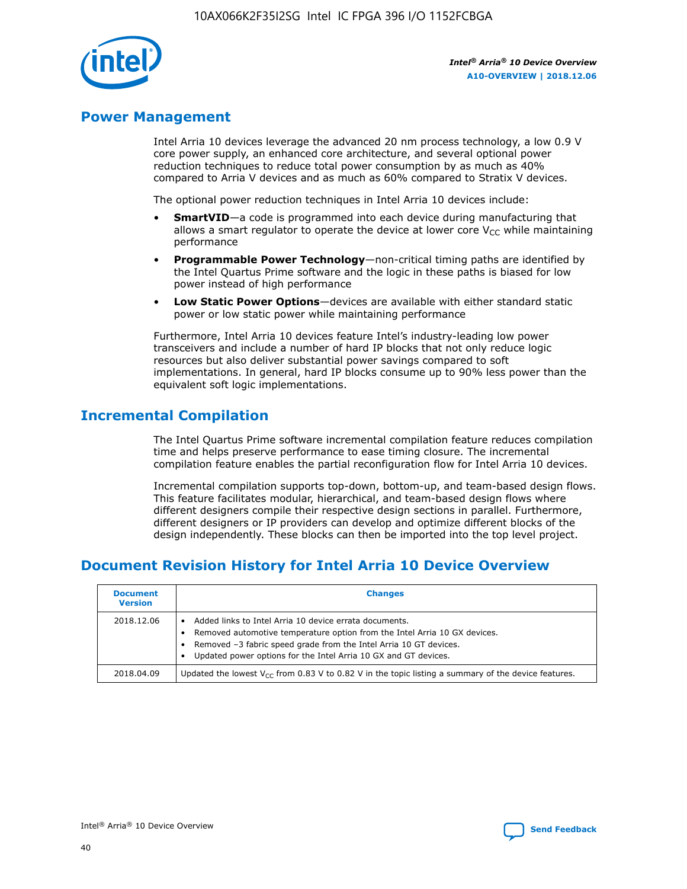

## **Power Management**

Intel Arria 10 devices leverage the advanced 20 nm process technology, a low 0.9 V core power supply, an enhanced core architecture, and several optional power reduction techniques to reduce total power consumption by as much as 40% compared to Arria V devices and as much as 60% compared to Stratix V devices.

The optional power reduction techniques in Intel Arria 10 devices include:

- **SmartVID**—a code is programmed into each device during manufacturing that allows a smart regulator to operate the device at lower core  $V_{CC}$  while maintaining performance
- **Programmable Power Technology**—non-critical timing paths are identified by the Intel Quartus Prime software and the logic in these paths is biased for low power instead of high performance
- **Low Static Power Options**—devices are available with either standard static power or low static power while maintaining performance

Furthermore, Intel Arria 10 devices feature Intel's industry-leading low power transceivers and include a number of hard IP blocks that not only reduce logic resources but also deliver substantial power savings compared to soft implementations. In general, hard IP blocks consume up to 90% less power than the equivalent soft logic implementations.

## **Incremental Compilation**

The Intel Quartus Prime software incremental compilation feature reduces compilation time and helps preserve performance to ease timing closure. The incremental compilation feature enables the partial reconfiguration flow for Intel Arria 10 devices.

Incremental compilation supports top-down, bottom-up, and team-based design flows. This feature facilitates modular, hierarchical, and team-based design flows where different designers compile their respective design sections in parallel. Furthermore, different designers or IP providers can develop and optimize different blocks of the design independently. These blocks can then be imported into the top level project.

## **Document Revision History for Intel Arria 10 Device Overview**

| <b>Document</b><br><b>Version</b> | <b>Changes</b>                                                                                                                                                                                                                                                              |
|-----------------------------------|-----------------------------------------------------------------------------------------------------------------------------------------------------------------------------------------------------------------------------------------------------------------------------|
| 2018.12.06                        | Added links to Intel Arria 10 device errata documents.<br>Removed automotive temperature option from the Intel Arria 10 GX devices.<br>Removed -3 fabric speed grade from the Intel Arria 10 GT devices.<br>Updated power options for the Intel Arria 10 GX and GT devices. |
| 2018.04.09                        | Updated the lowest $V_{CC}$ from 0.83 V to 0.82 V in the topic listing a summary of the device features.                                                                                                                                                                    |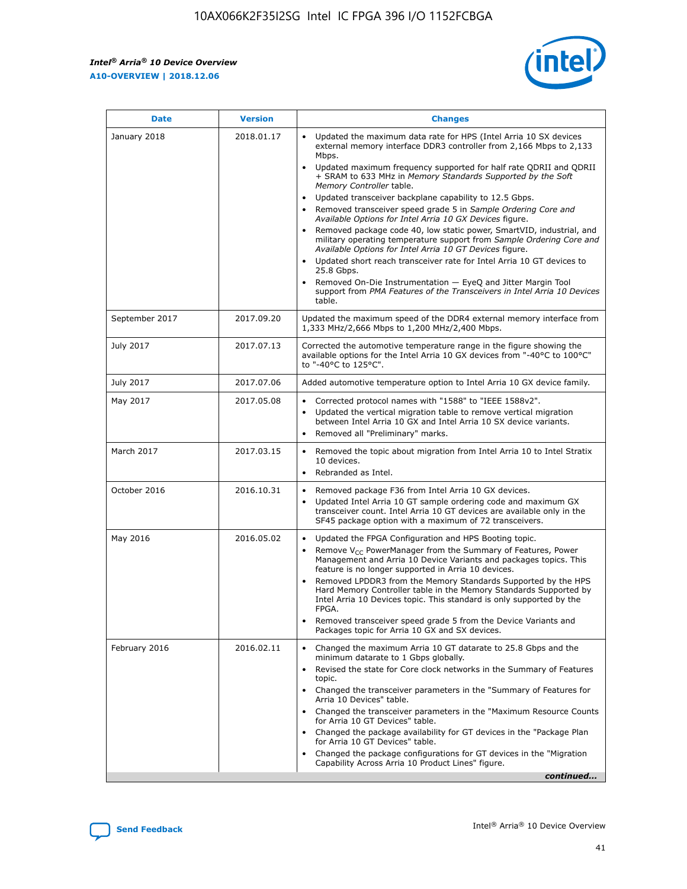*Intel® Arria® 10 Device Overview* **A10-OVERVIEW | 2018.12.06**



| <b>Date</b>    | <b>Version</b> | <b>Changes</b>                                                                                                                                                                                                                                                                                                                                                                                                                                                                                                                                                                                                                                                                                                                                                                                                                                                                                                                                                            |
|----------------|----------------|---------------------------------------------------------------------------------------------------------------------------------------------------------------------------------------------------------------------------------------------------------------------------------------------------------------------------------------------------------------------------------------------------------------------------------------------------------------------------------------------------------------------------------------------------------------------------------------------------------------------------------------------------------------------------------------------------------------------------------------------------------------------------------------------------------------------------------------------------------------------------------------------------------------------------------------------------------------------------|
| January 2018   | 2018.01.17     | Updated the maximum data rate for HPS (Intel Arria 10 SX devices<br>external memory interface DDR3 controller from 2,166 Mbps to 2,133<br>Mbps.<br>Updated maximum frequency supported for half rate QDRII and QDRII<br>+ SRAM to 633 MHz in Memory Standards Supported by the Soft<br>Memory Controller table.<br>Updated transceiver backplane capability to 12.5 Gbps.<br>$\bullet$<br>Removed transceiver speed grade 5 in Sample Ordering Core and<br>Available Options for Intel Arria 10 GX Devices figure.<br>Removed package code 40, low static power, SmartVID, industrial, and<br>military operating temperature support from Sample Ordering Core and<br>Available Options for Intel Arria 10 GT Devices figure.<br>Updated short reach transceiver rate for Intel Arria 10 GT devices to<br>25.8 Gbps.<br>Removed On-Die Instrumentation - EyeQ and Jitter Margin Tool<br>support from PMA Features of the Transceivers in Intel Arria 10 Devices<br>table. |
| September 2017 | 2017.09.20     | Updated the maximum speed of the DDR4 external memory interface from<br>1,333 MHz/2,666 Mbps to 1,200 MHz/2,400 Mbps.                                                                                                                                                                                                                                                                                                                                                                                                                                                                                                                                                                                                                                                                                                                                                                                                                                                     |
| July 2017      | 2017.07.13     | Corrected the automotive temperature range in the figure showing the<br>available options for the Intel Arria 10 GX devices from "-40°C to 100°C"<br>to "-40°C to 125°C".                                                                                                                                                                                                                                                                                                                                                                                                                                                                                                                                                                                                                                                                                                                                                                                                 |
| July 2017      | 2017.07.06     | Added automotive temperature option to Intel Arria 10 GX device family.                                                                                                                                                                                                                                                                                                                                                                                                                                                                                                                                                                                                                                                                                                                                                                                                                                                                                                   |
| May 2017       | 2017.05.08     | Corrected protocol names with "1588" to "IEEE 1588v2".<br>$\bullet$<br>Updated the vertical migration table to remove vertical migration<br>$\bullet$<br>between Intel Arria 10 GX and Intel Arria 10 SX device variants.<br>Removed all "Preliminary" marks.<br>$\bullet$                                                                                                                                                                                                                                                                                                                                                                                                                                                                                                                                                                                                                                                                                                |
| March 2017     | 2017.03.15     | Removed the topic about migration from Intel Arria 10 to Intel Stratix<br>10 devices.<br>Rebranded as Intel.<br>$\bullet$                                                                                                                                                                                                                                                                                                                                                                                                                                                                                                                                                                                                                                                                                                                                                                                                                                                 |
| October 2016   | 2016.10.31     | Removed package F36 from Intel Arria 10 GX devices.<br>Updated Intel Arria 10 GT sample ordering code and maximum GX<br>$\bullet$<br>transceiver count. Intel Arria 10 GT devices are available only in the<br>SF45 package option with a maximum of 72 transceivers.                                                                                                                                                                                                                                                                                                                                                                                                                                                                                                                                                                                                                                                                                                     |
| May 2016       | 2016.05.02     | Updated the FPGA Configuration and HPS Booting topic.<br>$\bullet$<br>Remove V <sub>CC</sub> PowerManager from the Summary of Features, Power<br>Management and Arria 10 Device Variants and packages topics. This<br>feature is no longer supported in Arria 10 devices.<br>Removed LPDDR3 from the Memory Standards Supported by the HPS<br>Hard Memory Controller table in the Memory Standards Supported by<br>Intel Arria 10 Devices topic. This standard is only supported by the<br>FPGA.<br>Removed transceiver speed grade 5 from the Device Variants and<br>Packages topic for Arria 10 GX and SX devices.                                                                                                                                                                                                                                                                                                                                                      |
| February 2016  | 2016.02.11     | Changed the maximum Arria 10 GT datarate to 25.8 Gbps and the<br>minimum datarate to 1 Gbps globally.<br>Revised the state for Core clock networks in the Summary of Features<br>$\bullet$<br>topic.<br>Changed the transceiver parameters in the "Summary of Features for<br>$\bullet$<br>Arria 10 Devices" table.<br>• Changed the transceiver parameters in the "Maximum Resource Counts<br>for Arria 10 GT Devices" table.<br>Changed the package availability for GT devices in the "Package Plan<br>for Arria 10 GT Devices" table.<br>Changed the package configurations for GT devices in the "Migration"<br>Capability Across Arria 10 Product Lines" figure.<br>continued                                                                                                                                                                                                                                                                                       |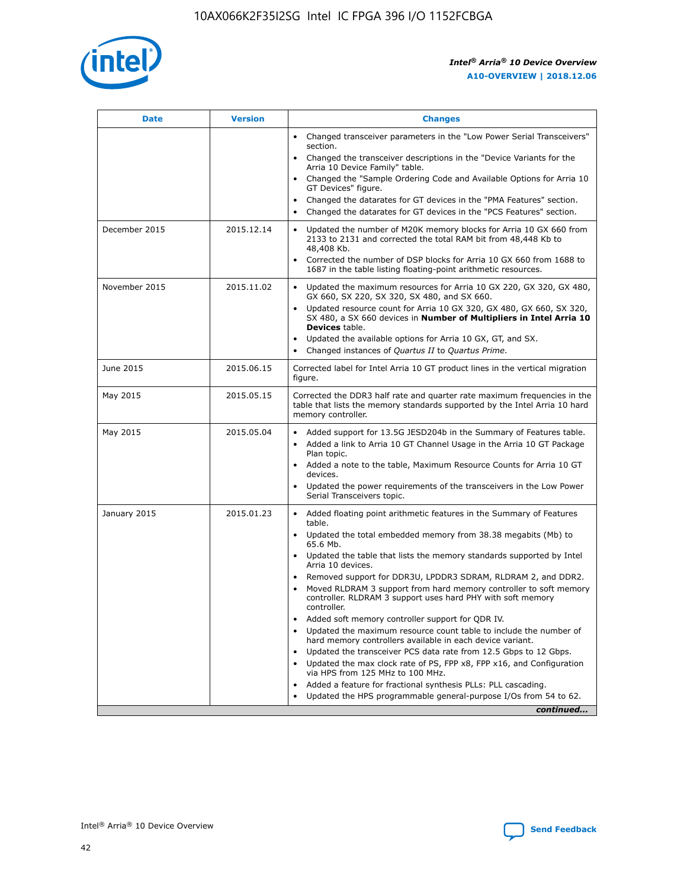

| <b>Date</b>   | <b>Version</b> | <b>Changes</b>                                                                                                                                                               |
|---------------|----------------|------------------------------------------------------------------------------------------------------------------------------------------------------------------------------|
|               |                | • Changed transceiver parameters in the "Low Power Serial Transceivers"<br>section.                                                                                          |
|               |                | • Changed the transceiver descriptions in the "Device Variants for the<br>Arria 10 Device Family" table.                                                                     |
|               |                | Changed the "Sample Ordering Code and Available Options for Arria 10<br>$\bullet$<br>GT Devices" figure.                                                                     |
|               |                | Changed the datarates for GT devices in the "PMA Features" section.                                                                                                          |
|               |                | Changed the datarates for GT devices in the "PCS Features" section.<br>$\bullet$                                                                                             |
| December 2015 | 2015.12.14     | Updated the number of M20K memory blocks for Arria 10 GX 660 from<br>2133 to 2131 and corrected the total RAM bit from 48,448 Kb to<br>48,408 Kb.                            |
|               |                | Corrected the number of DSP blocks for Arria 10 GX 660 from 1688 to<br>1687 in the table listing floating-point arithmetic resources.                                        |
| November 2015 | 2015.11.02     | Updated the maximum resources for Arria 10 GX 220, GX 320, GX 480,<br>$\bullet$<br>GX 660, SX 220, SX 320, SX 480, and SX 660.                                               |
|               |                | • Updated resource count for Arria 10 GX 320, GX 480, GX 660, SX 320,<br>SX 480, a SX 660 devices in Number of Multipliers in Intel Arria 10<br><b>Devices</b> table.        |
|               |                | Updated the available options for Arria 10 GX, GT, and SX.                                                                                                                   |
|               |                | Changed instances of Quartus II to Quartus Prime.<br>$\bullet$                                                                                                               |
| June 2015     | 2015.06.15     | Corrected label for Intel Arria 10 GT product lines in the vertical migration<br>figure.                                                                                     |
| May 2015      | 2015.05.15     | Corrected the DDR3 half rate and quarter rate maximum frequencies in the<br>table that lists the memory standards supported by the Intel Arria 10 hard<br>memory controller. |
| May 2015      | 2015.05.04     | • Added support for 13.5G JESD204b in the Summary of Features table.                                                                                                         |
|               |                | • Added a link to Arria 10 GT Channel Usage in the Arria 10 GT Package<br>Plan topic.                                                                                        |
|               |                | • Added a note to the table, Maximum Resource Counts for Arria 10 GT<br>devices.                                                                                             |
|               |                | • Updated the power requirements of the transceivers in the Low Power<br>Serial Transceivers topic.                                                                          |
| January 2015  | 2015.01.23     | • Added floating point arithmetic features in the Summary of Features<br>table.                                                                                              |
|               |                | • Updated the total embedded memory from 38.38 megabits (Mb) to<br>65.6 Mb.                                                                                                  |
|               |                | • Updated the table that lists the memory standards supported by Intel<br>Arria 10 devices.                                                                                  |
|               |                | Removed support for DDR3U, LPDDR3 SDRAM, RLDRAM 2, and DDR2.                                                                                                                 |
|               |                | Moved RLDRAM 3 support from hard memory controller to soft memory<br>controller. RLDRAM 3 support uses hard PHY with soft memory<br>controller.                              |
|               |                | Added soft memory controller support for QDR IV.<br>٠                                                                                                                        |
|               |                | Updated the maximum resource count table to include the number of<br>hard memory controllers available in each device variant.                                               |
|               |                | Updated the transceiver PCS data rate from 12.5 Gbps to 12 Gbps.<br>$\bullet$                                                                                                |
|               |                | Updated the max clock rate of PS, FPP x8, FPP x16, and Configuration<br>via HPS from 125 MHz to 100 MHz.                                                                     |
|               |                | Added a feature for fractional synthesis PLLs: PLL cascading.                                                                                                                |
|               |                | Updated the HPS programmable general-purpose I/Os from 54 to 62.<br>$\bullet$                                                                                                |
|               |                | continued                                                                                                                                                                    |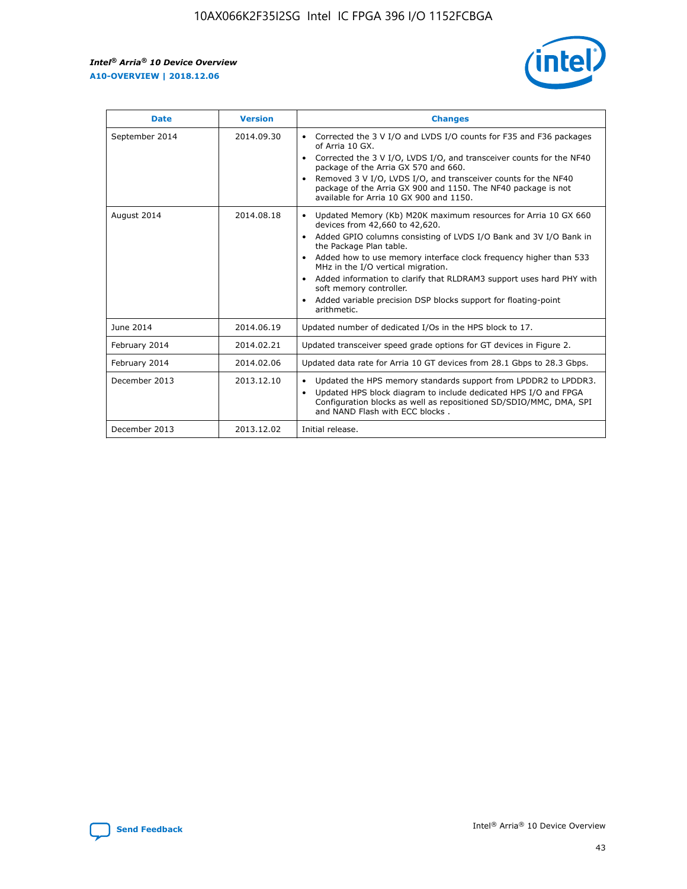r



| <b>Date</b>    | <b>Version</b> | <b>Changes</b>                                                                                                                                                                                                                                                                                                                                                                                                                                                                                                                                      |
|----------------|----------------|-----------------------------------------------------------------------------------------------------------------------------------------------------------------------------------------------------------------------------------------------------------------------------------------------------------------------------------------------------------------------------------------------------------------------------------------------------------------------------------------------------------------------------------------------------|
| September 2014 | 2014.09.30     | Corrected the 3 V I/O and LVDS I/O counts for F35 and F36 packages<br>$\bullet$<br>of Arria 10 GX.<br>Corrected the 3 V I/O, LVDS I/O, and transceiver counts for the NF40<br>$\bullet$<br>package of the Arria GX 570 and 660.<br>Removed 3 V I/O, LVDS I/O, and transceiver counts for the NF40<br>package of the Arria GX 900 and 1150. The NF40 package is not<br>available for Arria 10 GX 900 and 1150.                                                                                                                                       |
| August 2014    | 2014.08.18     | Updated Memory (Kb) M20K maximum resources for Arria 10 GX 660<br>devices from 42,660 to 42,620.<br>Added GPIO columns consisting of LVDS I/O Bank and 3V I/O Bank in<br>$\bullet$<br>the Package Plan table.<br>Added how to use memory interface clock frequency higher than 533<br>$\bullet$<br>MHz in the I/O vertical migration.<br>Added information to clarify that RLDRAM3 support uses hard PHY with<br>$\bullet$<br>soft memory controller.<br>Added variable precision DSP blocks support for floating-point<br>$\bullet$<br>arithmetic. |
| June 2014      | 2014.06.19     | Updated number of dedicated I/Os in the HPS block to 17.                                                                                                                                                                                                                                                                                                                                                                                                                                                                                            |
| February 2014  | 2014.02.21     | Updated transceiver speed grade options for GT devices in Figure 2.                                                                                                                                                                                                                                                                                                                                                                                                                                                                                 |
| February 2014  | 2014.02.06     | Updated data rate for Arria 10 GT devices from 28.1 Gbps to 28.3 Gbps.                                                                                                                                                                                                                                                                                                                                                                                                                                                                              |
| December 2013  | 2013.12.10     | Updated the HPS memory standards support from LPDDR2 to LPDDR3.<br>Updated HPS block diagram to include dedicated HPS I/O and FPGA<br>$\bullet$<br>Configuration blocks as well as repositioned SD/SDIO/MMC, DMA, SPI<br>and NAND Flash with ECC blocks.                                                                                                                                                                                                                                                                                            |
| December 2013  | 2013.12.02     | Initial release.                                                                                                                                                                                                                                                                                                                                                                                                                                                                                                                                    |